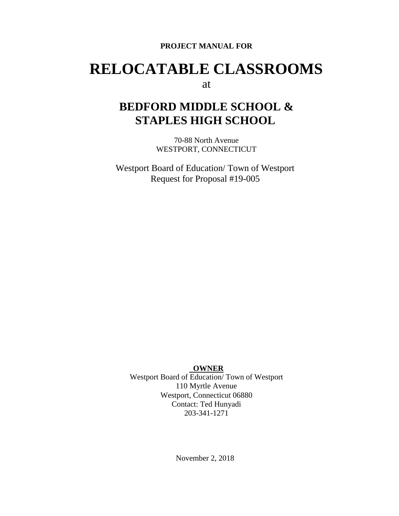#### **PROJECT MANUAL FOR**

# **RELOCATABLE CLASSROOMS**

### at

# **BEDFORD MIDDLE SCHOOL & STAPLES HIGH SCHOOL**

70-88 North Avenue WESTPORT, CONNECTICUT

Westport Board of Education/ Town of Westport Request for Proposal #19-005

#### **OWNER**

Westport Board of Education/ Town of Westport 110 Myrtle Avenue Westport, Connecticut 06880 Contact: Ted Hunyadi 203-341-1271

November 2, 2018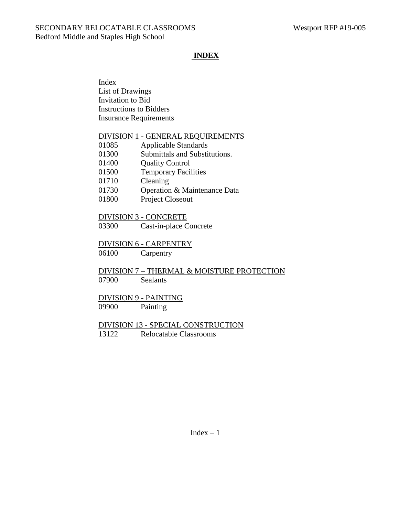### **INDEX**

Index List of Drawings Invitation to Bid Instructions to Bidders Insurance Requirements

#### DIVISION 1 - GENERAL REQUIREMENTS

| 01085 | <b>Applicable Standards</b>          |
|-------|--------------------------------------|
| 01300 | Submittals and Substitutions.        |
| 01400 | <b>Quality Control</b>               |
| 01500 | <b>Temporary Facilities</b>          |
| 01710 | Cleaning                             |
| 01730 | Operation & Maintenance Data         |
| 01000 | $D_{\text{noise}}$ $C_{\text{base}}$ |

01800 Project Closeout

#### DIVISION 3 - CONCRETE

03300 Cast-in-place Concrete

#### DIVISION 6 - CARPENTRY

06100 Carpentry

DIVISION 7 – THERMAL & MOISTURE PROTECTION 07900 Sealants

### DIVISION 9 - PAINTING

09900 Painting

#### DIVISION 13 - SPECIAL CONSTRUCTION 13122 Relocatable Classrooms

 $Index - 1$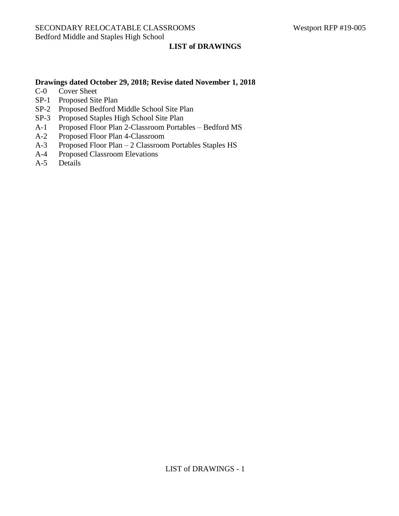#### **LIST of DRAWINGS**

#### **Drawings dated October 29, 2018; Revise dated November 1, 2018**

- C-0 Cover Sheet
- SP-1 Proposed Site Plan
- SP-2 Proposed Bedford Middle School Site Plan
- SP-3 Proposed Staples High School Site Plan
- A-1 Proposed Floor Plan 2-Classroom Portables Bedford MS
- A-2 Proposed Floor Plan 4-Classroom
- A-3 Proposed Floor Plan 2 Classroom Portables Staples HS
- A-4 Proposed Classroom Elevations
- A-5 Details

LIST of DRAWINGS - 1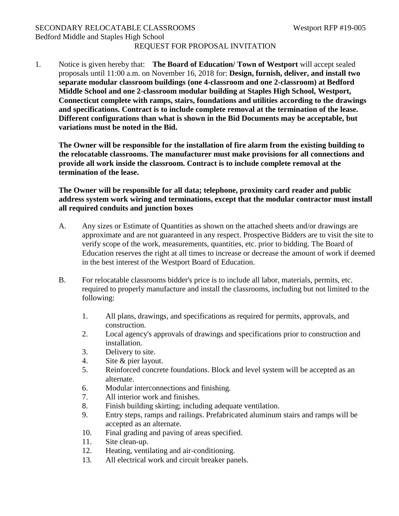### SECONDARY RELOCATABLE CLASSROOMS Westport RFP #19-005 Bedford Middle and Staples High School REQUEST FOR PROPOSAL INVITATION

1. Notice is given hereby that: **The Board of Education/ Town of Westport** will accept sealed proposals until 11:00 a.m. on November 16, 2018 for: **Design, furnish, deliver, and install two separate modular classroom buildings (one 4-classroom and one 2-classroom) at Bedford Middle School and one 2-classroom modular building at Staples High School, Westport, Connecticut complete with ramps, stairs, foundations and utilities according to the drawings and specifications. Contract is to include complete removal at the termination of the lease. Different configurations than what is shown in the Bid Documents may be acceptable, but variations must be noted in the Bid.**

**The Owner will be responsible for the installation of fire alarm from the existing building to the relocatable classrooms. The manufacturer must make provisions for all connections and provide all work inside the classroom. Contract is to include complete removal at the termination of the lease.**

### **The Owner will be responsible for all data; telephone, proximity card reader and public address system work wiring and terminations, except that the modular contractor must install all required conduits and junction boxes**

- A. Any sizes or Estimate of Quantities as shown on the attached sheets and/or drawings are approximate and are not guaranteed in any respect. Prospective Bidders are to visit the site to verify scope of the work, measurements, quantities, etc. prior to bidding. The Board of Education reserves the right at all times to increase or decrease the amount of work if deemed in the best interest of the Westport Board of Education.
- B. For relocatable classrooms bidder's price is to include all labor, materials, permits, etc. required to properly manufacture and install the classrooms, including but not limited to the following:
	- 1. All plans, drawings, and specifications as required for permits, approvals, and construction.
	- 2. Local agency's approvals of drawings and specifications prior to construction and installation.
	- 3. Delivery to site.
	- 4. Site & pier layout.
	- 5. Reinforced concrete foundations. Block and level system will be accepted as an alternate.
	- 6. Modular interconnections and finishing.
	- 7. All interior work and finishes.
	- 8. Finish building skirting; including adequate ventilation.
	- 9. Entry steps, ramps and railings. Prefabricated aluminum stairs and ramps will be accepted as an alternate.
	- 10. Final grading and paving of areas specified.
	- 11. Site clean-up.
	- 12. Heating, ventilating and air-conditioning.
	- 13. All electrical work and circuit breaker panels.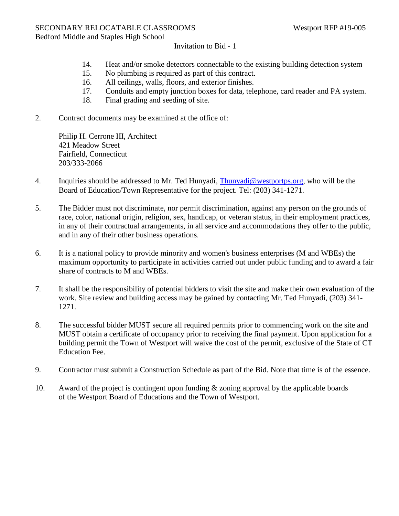Invitation to Bid - 1

- 14. Heat and/or smoke detectors connectable to the existing building detection system
- 15. No plumbing is required as part of this contract.
- 16. All ceilings, walls, floors, and exterior finishes.
- 17. Conduits and empty junction boxes for data, telephone, card reader and PA system.
- 18. Final grading and seeding of site.
- 2. Contract documents may be examined at the office of:

Philip H. Cerrone III, Architect 421 Meadow Street Fairfield, Connecticut 203/333-2066

- 4. Inquiries should be addressed to Mr. Ted Hunyadi, [Thunyadi@westportps.org,](mailto:Thunyadi@westportps.org) who will be the Board of Education/Town Representative for the project. Tel: (203) 341-1271.
- 5. The Bidder must not discriminate, nor permit discrimination, against any person on the grounds of race, color, national origin, religion, sex, handicap, or veteran status, in their employment practices, in any of their contractual arrangements, in all service and accommodations they offer to the public, and in any of their other business operations.
- 6. It is a national policy to provide minority and women's business enterprises (M and WBEs) the maximum opportunity to participate in activities carried out under public funding and to award a fair share of contracts to M and WBEs.
- 7. It shall be the responsibility of potential bidders to visit the site and make their own evaluation of the work. Site review and building access may be gained by contacting Mr. Ted Hunyadi, (203) 341- 1271.
- 8. The successful bidder MUST secure all required permits prior to commencing work on the site and MUST obtain a certificate of occupancy prior to receiving the final payment. Upon application for a building permit the Town of Westport will waive the cost of the permit, exclusive of the State of CT Education Fee.
- 9. Contractor must submit a Construction Schedule as part of the Bid. Note that time is of the essence.
- 10. Award of the project is contingent upon funding & zoning approval by the applicable boards of the Westport Board of Educations and the Town of Westport.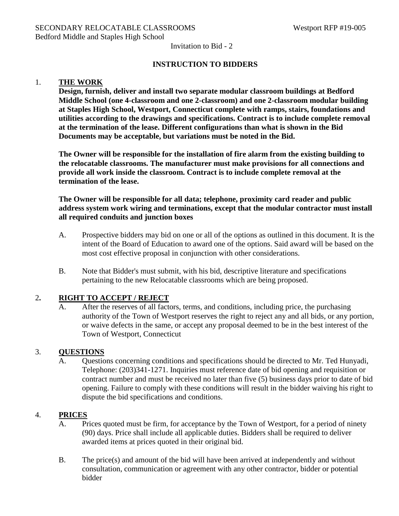Invitation to Bid - 2

### **INSTRUCTION TO BIDDERS**

#### 1. **THE WORK**

**Design, furnish, deliver and install two separate modular classroom buildings at Bedford Middle School (one 4-classroom and one 2-classroom) and one 2-classroom modular building at Staples High School, Westport, Connecticut complete with ramps, stairs, foundations and utilities according to the drawings and specifications. Contract is to include complete removal at the termination of the lease. Different configurations than what is shown in the Bid Documents may be acceptable, but variations must be noted in the Bid.**

**The Owner will be responsible for the installation of fire alarm from the existing building to the relocatable classrooms. The manufacturer must make provisions for all connections and provide all work inside the classroom. Contract is to include complete removal at the termination of the lease.**

**The Owner will be responsible for all data; telephone, proximity card reader and public address system work wiring and terminations, except that the modular contractor must install all required conduits and junction boxes**

- A. Prospective bidders may bid on one or all of the options as outlined in this document. It is the intent of the Board of Education to award one of the options. Said award will be based on the most cost effective proposal in conjunction with other considerations.
- B. Note that Bidder's must submit, with his bid, descriptive literature and specifications pertaining to the new Relocatable classrooms which are being proposed.

### 2**. RIGHT TO ACCEPT / REJECT**

A. After the reserves of all factors, terms, and conditions, including price, the purchasing authority of the Town of Westport reserves the right to reject any and all bids, or any portion, or waive defects in the same, or accept any proposal deemed to be in the best interest of the Town of Westport, Connecticut

### 3. **QUESTIONS**

A. Questions concerning conditions and specifications should be directed to Mr. Ted Hunyadi, Telephone: (203)341-1271. Inquiries must reference date of bid opening and requisition or contract number and must be received no later than five (5) business days prior to date of bid opening. Failure to comply with these conditions will result in the bidder waiving his right to dispute the bid specifications and conditions.

### 4. **PRICES**

- A. Prices quoted must be firm, for acceptance by the Town of Westport, for a period of ninety (90) days. Price shall include all applicable duties. Bidders shall be required to deliver awarded items at prices quoted in their original bid.
- B. The price(s) and amount of the bid will have been arrived at independently and without consultation, communication or agreement with any other contractor, bidder or potential bidder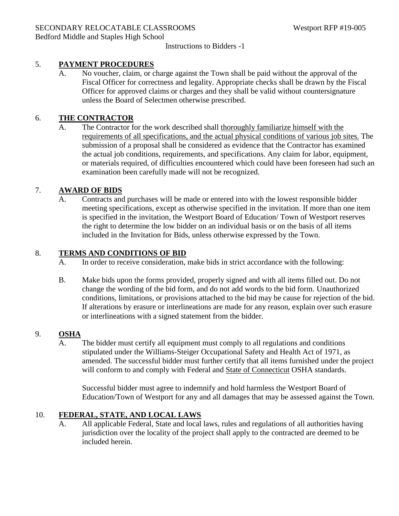### 5. **PAYMENT PROCEDURES**

A. No voucher, claim, or charge against the Town shall be paid without the approval of the Fiscal Officer for correctness and legality. Appropriate checks shall be drawn by the Fiscal Officer for approved claims or charges and they shall be valid without countersignature unless the Board of Selectmen otherwise prescribed.

### 6. **THE CONTRACTOR**

A. The Contractor for the work described shall thoroughly familiarize himself with the requirements of all specifications, and the actual physical conditions of various job sites. The submission of a proposal shall be considered as evidence that the Contractor has examined the actual job conditions, requirements, and specifications. Any claim for labor, equipment, or materials required, of difficulties encountered which could have been foreseen had such an examination been carefully made will not be recognized.

### 7. **AWARD OF BIDS**

A. Contracts and purchases will be made or entered into with the lowest responsible bidder meeting specifications, except as otherwise specified in the invitation. If more than one item is specified in the invitation, the Westport Board of Education/ Town of Westport reserves the right to determine the low bidder on an individual basis or on the basis of all items included in the Invitation for Bids, unless otherwise expressed by the Town.

### 8. **TERMS AND CONDITIONS OF BID**

- A. In order to receive consideration, make bids in strict accordance with the following:
- B. Make bids upon the forms provided, properly signed and with all items filled out. Do not change the wording of the bid form, and do not add words to the bid form. Unauthorized conditions, limitations, or provisions attached to the bid may be cause for rejection of the bid. If alterations by erasure or interlineations are made for any reason, explain over such erasure or interlineations with a signed statement from the bidder.

#### 9. **OSHA**

A. The bidder must certify all equipment must comply to all regulations and conditions stipulated under the Williams-Steiger Occupational Safety and Health Act of 1971, as amended. The successful bidder must further certify that all items furnished under the project will conform to and comply with Federal and State of Connecticut OSHA standards.

Successful bidder must agree to indemnify and hold harmless the Westport Board of Education/Town of Westport for any and all damages that may be assessed against the Town.

### 10. **FEDERAL, STATE, AND LOCAL LAWS**

A. All applicable Federal, State and local laws, rules and regulations of all authorities having jurisdiction over the locality of the project shall apply to the contracted are deemed to be included herein.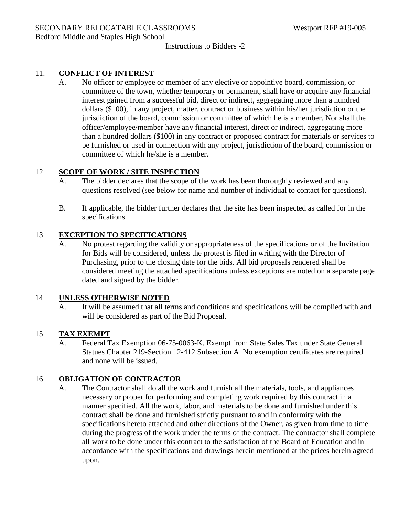### 11. **CONFLICT OF INTEREST**

No officer or employee or member of any elective or appointive board, commission, or committee of the town, whether temporary or permanent, shall have or acquire any financial interest gained from a successful bid, direct or indirect, aggregating more than a hundred dollars (\$100), in any project, matter, contract or business within his/her jurisdiction or the jurisdiction of the board, commission or committee of which he is a member. Nor shall the officer/employee/member have any financial interest, direct or indirect, aggregating more than a hundred dollars (\$100) in any contract or proposed contract for materials or services to be furnished or used in connection with any project, jurisdiction of the board, commission or committee of which he/she is a member.

#### 12. **SCOPE OF WORK / SITE INSPECTION**

- A. The bidder declares that the scope of the work has been thoroughly reviewed and any questions resolved (see below for name and number of individual to contact for questions).
- B. If applicable, the bidder further declares that the site has been inspected as called for in the specifications.

#### 13. **EXCEPTION TO SPECIFICATIONS**

A. No protest regarding the validity or appropriateness of the specifications or of the Invitation for Bids will be considered, unless the protest is filed in writing with the Director of Purchasing, prior to the closing date for the bids. All bid proposals rendered shall be considered meeting the attached specifications unless exceptions are noted on a separate page dated and signed by the bidder.

#### 14. **UNLESS OTHERWISE NOTED**

A. It will be assumed that all terms and conditions and specifications will be complied with and will be considered as part of the Bid Proposal.

#### 15. **TAX EXEMPT**

A. Federal Tax Exemption 06-75-0063-K. Exempt from State Sales Tax under State General Statues Chapter 219-Section 12-412 Subsection A. No exemption certificates are required and none will be issued.

#### 16. **OBLIGATION OF CONTRACTOR**

A. The Contractor shall do all the work and furnish all the materials, tools, and appliances necessary or proper for performing and completing work required by this contract in a manner specified. All the work, labor, and materials to be done and furnished under this contract shall be done and furnished strictly pursuant to and in conformity with the specifications hereto attached and other directions of the Owner, as given from time to time during the progress of the work under the terms of the contract. The contractor shall complete all work to be done under this contract to the satisfaction of the Board of Education and in accordance with the specifications and drawings herein mentioned at the prices herein agreed upon.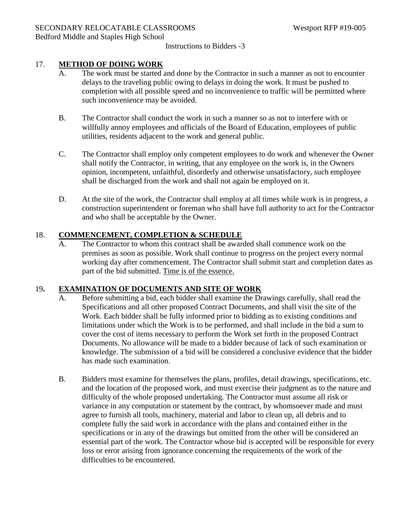### 17. **METHOD OF DOING WORK**

- A. The work must be started and done by the Contractor in such a manner as not to encounter delays to the traveling public owing to delays in doing the work. It must be pushed to completion with all possible speed and no inconvenience to traffic will be permitted where such inconvenience may be avoided.
- B. The Contractor shall conduct the work in such a manner so as not to interfere with or willfully annoy employees and officials of the Board of Education, employees of public utilities, residents adjacent to the work and general public.
- C. The Contractor shall employ only competent employees to do work and whenever the Owner shall notify the Contractor, in writing, that any employee on the work is, in the Owners opinion, incompetent, unfaithful, disorderly and otherwise unsatisfactory, such employee shall be discharged from the work and shall not again be employed on it.
- D. At the site of the work, the Contractor shall employ at all times while work is in progress, a construction superintendent or foreman who shall have full authority to act for the Contractor and who shall be acceptable by the Owner.

#### 18. **COMMENCEMENT, COMPLETION & SCHEDULE**

A. The Contractor to whom this contract shall be awarded shall commence work on the premises as soon as possible. Work shall continue to progress on the project every normal working day after commencement. The Contractor shall submit start and completion dates as part of the bid submitted. Time is of the essence.

#### 19**. EXAMINATION OF DOCUMENTS AND SITE OF WORK**

- A. Before submitting a bid, each bidder shall examine the Drawings carefully, shall read the Specifications and all other proposed Contract Documents, and shall visit the site of the Work. Each bidder shall be fully informed prior to bidding as to existing conditions and limitations under which the Work is to be performed, and shall include in the bid a sum to cover the cost of items necessary to perform the Work set forth in the proposed Contract Documents. No allowance will be made to a bidder because of lack of such examination or knowledge. The submission of a bid will be considered a conclusive evidence that the bidder has made such examination.
- B. Bidders must examine for themselves the plans, profiles, detail drawings, specifications, etc. and the location of the proposed work, and must exercise their judgment as to the nature and difficulty of the whole proposed undertaking. The Contractor must assume all risk or variance in any computation or statement by the contract, by whomsoever made and must agree to furnish all tools, machinery, material and labor to clean up, all debris and to complete fully the said work in accordance with the plans and contained either in the specifications or in any of the drawings but omitted from the other will be considered an essential part of the work. The Contractor whose bid is accepted will be responsible for every loss or error arising from ignorance concerning the requirements of the work of the difficulties to be encountered.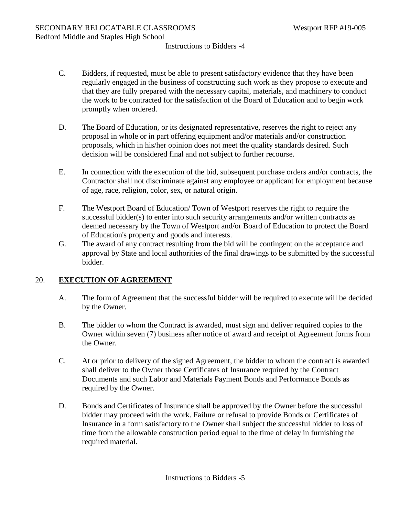- C. Bidders, if requested, must be able to present satisfactory evidence that they have been regularly engaged in the business of constructing such work as they propose to execute and that they are fully prepared with the necessary capital, materials, and machinery to conduct the work to be contracted for the satisfaction of the Board of Education and to begin work promptly when ordered.
- D. The Board of Education, or its designated representative, reserves the right to reject any proposal in whole or in part offering equipment and/or materials and/or construction proposals, which in his/her opinion does not meet the quality standards desired. Such decision will be considered final and not subject to further recourse.
- E. In connection with the execution of the bid, subsequent purchase orders and/or contracts, the Contractor shall not discriminate against any employee or applicant for employment because of age, race, religion, color, sex, or natural origin.
- F. The Westport Board of Education/ Town of Westport reserves the right to require the successful bidder(s) to enter into such security arrangements and/or written contracts as deemed necessary by the Town of Westport and/or Board of Education to protect the Board of Education's property and goods and interests.
- G. The award of any contract resulting from the bid will be contingent on the acceptance and approval by State and local authorities of the final drawings to be submitted by the successful bidder.

### 20. **EXECUTION OF AGREEMENT**

- A. The form of Agreement that the successful bidder will be required to execute will be decided by the Owner.
- B. The bidder to whom the Contract is awarded, must sign and deliver required copies to the Owner within seven (7) business after notice of award and receipt of Agreement forms from the Owner.
- C. At or prior to delivery of the signed Agreement, the bidder to whom the contract is awarded shall deliver to the Owner those Certificates of Insurance required by the Contract Documents and such Labor and Materials Payment Bonds and Performance Bonds as required by the Owner.
- D. Bonds and Certificates of Insurance shall be approved by the Owner before the successful bidder may proceed with the work. Failure or refusal to provide Bonds or Certificates of Insurance in a form satisfactory to the Owner shall subject the successful bidder to loss of time from the allowable construction period equal to the time of delay in furnishing the required material.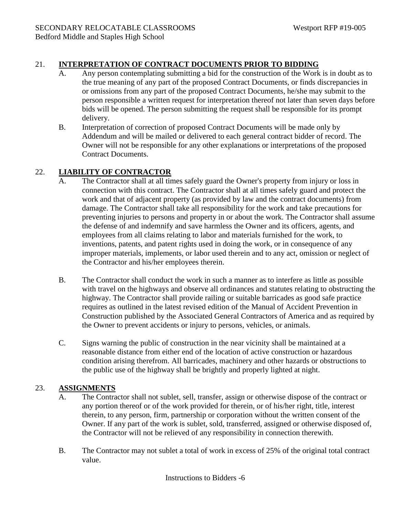### 21. **INTERPRETATION OF CONTRACT DOCUMENTS PRIOR TO BIDDING**

- A. Any person contemplating submitting a bid for the construction of the Work is in doubt as to the true meaning of any part of the proposed Contract Documents, or finds discrepancies in or omissions from any part of the proposed Contract Documents, he/she may submit to the person responsible a written request for interpretation thereof not later than seven days before bids will be opened. The person submitting the request shall be responsible for its prompt delivery.
- B. Interpretation of correction of proposed Contract Documents will be made only by Addendum and will be mailed or delivered to each general contract bidder of record. The Owner will not be responsible for any other explanations or interpretations of the proposed Contract Documents.

### 22. **LIABILITY OF CONTRACTOR**

- A. The Contractor shall at all times safely guard the Owner's property from injury or loss in connection with this contract. The Contractor shall at all times safely guard and protect the work and that of adjacent property (as provided by law and the contract documents) from damage. The Contractor shall take all responsibility for the work and take precautions for preventing injuries to persons and property in or about the work. The Contractor shall assume the defense of and indemnify and save harmless the Owner and its officers, agents, and employees from all claims relating to labor and materials furnished for the work, to inventions, patents, and patent rights used in doing the work, or in consequence of any improper materials, implements, or labor used therein and to any act, omission or neglect of the Contractor and his/her employees therein.
- B. The Contractor shall conduct the work in such a manner as to interfere as little as possible with travel on the highways and observe all ordinances and statutes relating to obstructing the highway. The Contractor shall provide railing or suitable barricades as good safe practice requires as outlined in the latest revised edition of the Manual of Accident Prevention in Construction published by the Associated General Contractors of America and as required by the Owner to prevent accidents or injury to persons, vehicles, or animals.
- C. Signs warning the public of construction in the near vicinity shall be maintained at a reasonable distance from either end of the location of active construction or hazardous condition arising therefrom. All barricades, machinery and other hazards or obstructions to the public use of the highway shall be brightly and properly lighted at night.

### 23. **ASSIGNMENTS**

- A. The Contractor shall not sublet, sell, transfer, assign or otherwise dispose of the contract or any portion thereof or of the work provided for therein, or of his/her right, title, interest therein, to any person, firm, partnership or corporation without the written consent of the Owner. If any part of the work is sublet, sold, transferred, assigned or otherwise disposed of, the Contractor will not be relieved of any responsibility in connection therewith.
- B. The Contractor may not sublet a total of work in excess of 25% of the original total contract value.

Instructions to Bidders -6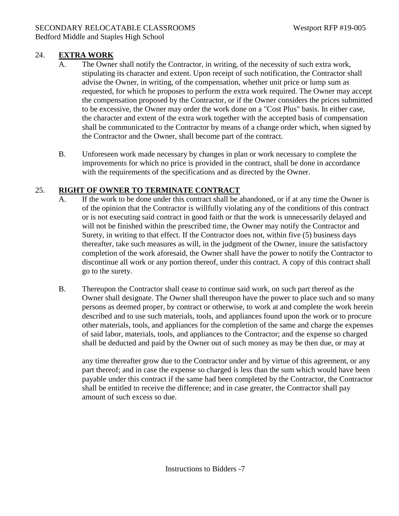### 24. **EXTRA WORK**

- A. The Owner shall notify the Contractor, in writing, of the necessity of such extra work, stipulating its character and extent. Upon receipt of such notification, the Contractor shall advise the Owner, in writing, of the compensation, whether unit price or lump sum as requested, for which he proposes to perform the extra work required. The Owner may accept the compensation proposed by the Contractor, or if the Owner considers the prices submitted to be excessive, the Owner may order the work done on a "Cost Plus" basis. In either case, the character and extent of the extra work together with the accepted basis of compensation shall be communicated to the Contractor by means of a change order which, when signed by the Contractor and the Owner, shall become part of the contract.
- B. Unforeseen work made necessary by changes in plan or work necessary to complete the improvements for which no price is provided in the contract, shall be done in accordance with the requirements of the specifications and as directed by the Owner.

### 25. **RIGHT OF OWNER TO TERMINATE CONTRACT**

- A. If the work to be done under this contract shall be abandoned, or if at any time the Owner is of the opinion that the Contractor is willfully violating any of the conditions of this contract or is not executing said contract in good faith or that the work is unnecessarily delayed and will not be finished within the prescribed time, the Owner may notify the Contractor and Surety, in writing to that effect. If the Contractor does not, within five (5) business days thereafter, take such measures as will, in the judgment of the Owner, insure the satisfactory completion of the work aforesaid, the Owner shall have the power to notify the Contractor to discontinue all work or any portion thereof, under this contract. A copy of this contract shall go to the surety.
- B. Thereupon the Contractor shall cease to continue said work, on such part thereof as the Owner shall designate. The Owner shall thereupon have the power to place such and so many persons as deemed proper, by contract or otherwise, to work at and complete the work herein described and to use such materials, tools, and appliances found upon the work or to procure other materials, tools, and appliances for the completion of the same and charge the expenses of said labor, materials, tools, and appliances to the Contractor; and the expense so charged shall be deducted and paid by the Owner out of such money as may be then due, or may at

any time thereafter grow due to the Contractor under and by virtue of this agreement, or any part thereof; and in case the expense so charged is less than the sum which would have been payable under this contract if the same had been completed by the Contractor, the Contractor shall be entitled to receive the difference; and in case greater, the Contractor shall pay amount of such excess so due.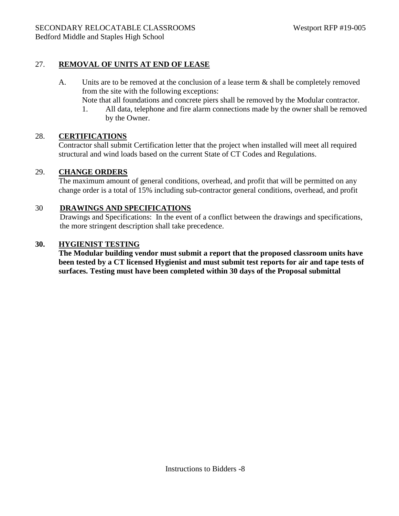### 27. **REMOVAL OF UNITS AT END OF LEASE**

- A. Units are to be removed at the conclusion of a lease term & shall be completely removed from the site with the following exceptions:
	- Note that all foundations and concrete piers shall be removed by the Modular contractor.
	- 1. All data, telephone and fire alarm connections made by the owner shall be removed by the Owner.

### 28. **CERTIFICATIONS**

Contractor shall submit Certification letter that the project when installed will meet all required structural and wind loads based on the current State of CT Codes and Regulations.

### 29. **CHANGE ORDERS**

The maximum amount of general conditions, overhead, and profit that will be permitted on any change order is a total of 15% including sub-contractor general conditions, overhead, and profit

### 30 **DRAWINGS AND SPECIFICATIONS**

 Drawings and Specifications: In the event of a conflict between the drawings and specifications, the more stringent description shall take precedence.

### **30. HYGIENIST TESTING**

**The Modular building vendor must submit a report that the proposed classroom units have been tested by a CT licensed Hygienist and must submit test reports for air and tape tests of surfaces. Testing must have been completed within 30 days of the Proposal submittal**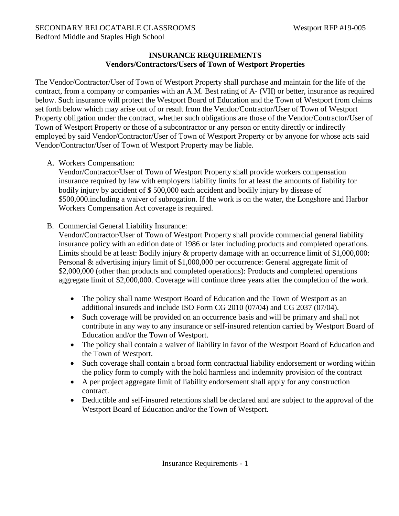### **INSURANCE REQUIREMENTS Vendors/Contractors/Users of Town of Westport Properties**

The Vendor/Contractor/User of Town of Westport Property shall purchase and maintain for the life of the contract, from a company or companies with an A.M. Best rating of A- (VII) or better, insurance as required below. Such insurance will protect the Westport Board of Education and the Town of Westport from claims set forth below which may arise out of or result from the Vendor/Contractor/User of Town of Westport Property obligation under the contract, whether such obligations are those of the Vendor/Contractor/User of Town of Westport Property or those of a subcontractor or any person or entity directly or indirectly employed by said Vendor/Contractor/User of Town of Westport Property or by anyone for whose acts said Vendor/Contractor/User of Town of Westport Property may be liable.

A. Workers Compensation:

Vendor/Contractor/User of Town of Westport Property shall provide workers compensation insurance required by law with employers liability limits for at least the amounts of liability for bodily injury by accident of \$ 500,000 each accident and bodily injury by disease of \$500,000.including a waiver of subrogation. If the work is on the water, the Longshore and Harbor Workers Compensation Act coverage is required.

B. Commercial General Liability Insurance:

Vendor/Contractor/User of Town of Westport Property shall provide commercial general liability insurance policy with an edition date of 1986 or later including products and completed operations. Limits should be at least: Bodily injury & property damage with an occurrence limit of \$1,000,000: Personal & advertising injury limit of \$1,000,000 per occurrence: General aggregate limit of \$2,000,000 (other than products and completed operations): Products and completed operations aggregate limit of \$2,000,000. Coverage will continue three years after the completion of the work.

- The policy shall name Westport Board of Education and the Town of Westport as an additional insureds and include ISO Form CG 2010 (07/04) and CG 2037 (07/04).
- Such coverage will be provided on an occurrence basis and will be primary and shall not contribute in any way to any insurance or self-insured retention carried by Westport Board of Education and/or the Town of Westport.
- The policy shall contain a waiver of liability in favor of the Westport Board of Education and the Town of Westport.
- Such coverage shall contain a broad form contractual liability endorsement or wording within the policy form to comply with the hold harmless and indemnity provision of the contract
- A per project aggregate limit of liability endorsement shall apply for any construction contract.
- Deductible and self-insured retentions shall be declared and are subject to the approval of the Westport Board of Education and/or the Town of Westport.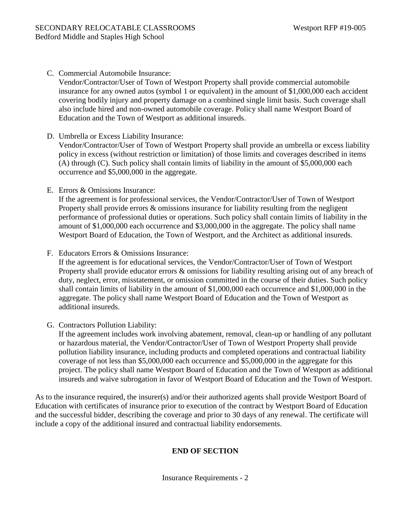C. Commercial Automobile Insurance:

Vendor/Contractor/User of Town of Westport Property shall provide commercial automobile insurance for any owned autos (symbol 1 or equivalent) in the amount of \$1,000,000 each accident covering bodily injury and property damage on a combined single limit basis. Such coverage shall also include hired and non-owned automobile coverage. Policy shall name Westport Board of Education and the Town of Westport as additional insureds.

- D. Umbrella or Excess Liability Insurance: Vendor/Contractor/User of Town of Westport Property shall provide an umbrella or excess liability policy in excess (without restriction or limitation) of those limits and coverages described in items (A) through (C). Such policy shall contain limits of liability in the amount of \$5,000,000 each occurrence and \$5,000,000 in the aggregate.
- E. Errors & Omissions Insurance:

If the agreement is for professional services, the Vendor/Contractor/User of Town of Westport Property shall provide errors & omissions insurance for liability resulting from the negligent performance of professional duties or operations. Such policy shall contain limits of liability in the amount of \$1,000,000 each occurrence and \$3,000,000 in the aggregate. The policy shall name Westport Board of Education, the Town of Westport, and the Architect as additional insureds.

F. Educators Errors & Omissions Insurance:

If the agreement is for educational services, the Vendor/Contractor/User of Town of Westport Property shall provide educator errors & omissions for liability resulting arising out of any breach of duty, neglect, error, misstatement, or omission committed in the course of their duties. Such policy shall contain limits of liability in the amount of \$1,000,000 each occurrence and \$1,000,000 in the aggregate. The policy shall name Westport Board of Education and the Town of Westport as additional insureds.

G. Contractors Pollution Liability:

If the agreement includes work involving abatement, removal, clean-up or handling of any pollutant or hazardous material, the Vendor/Contractor/User of Town of Westport Property shall provide pollution liability insurance, including products and completed operations and contractual liability coverage of not less than \$5,000,000 each occurrence and \$5,000,000 in the aggregate for this project. The policy shall name Westport Board of Education and the Town of Westport as additional insureds and waive subrogation in favor of Westport Board of Education and the Town of Westport.

As to the insurance required, the insurer(s) and/or their authorized agents shall provide Westport Board of Education with certificates of insurance prior to execution of the contract by Westport Board of Education and the successful bidder, describing the coverage and prior to 30 days of any renewal. The certificate will include a copy of the additional insured and contractual liability endorsements.

### **END OF SECTION**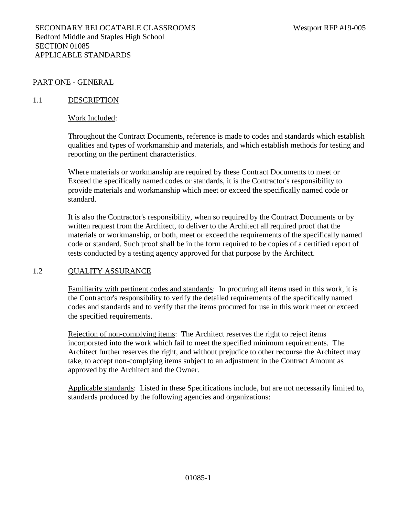#### PART ONE - GENERAL

#### 1.1 DESCRIPTION

#### Work Included:

Throughout the Contract Documents, reference is made to codes and standards which establish qualities and types of workmanship and materials, and which establish methods for testing and reporting on the pertinent characteristics.

Where materials or workmanship are required by these Contract Documents to meet or Exceed the specifically named codes or standards, it is the Contractor's responsibility to provide materials and workmanship which meet or exceed the specifically named code or standard.

It is also the Contractor's responsibility, when so required by the Contract Documents or by written request from the Architect, to deliver to the Architect all required proof that the materials or workmanship, or both, meet or exceed the requirements of the specifically named code or standard. Such proof shall be in the form required to be copies of a certified report of tests conducted by a testing agency approved for that purpose by the Architect.

#### 1.2 QUALITY ASSURANCE

Familiarity with pertinent codes and standards: In procuring all items used in this work, it is the Contractor's responsibility to verify the detailed requirements of the specifically named codes and standards and to verify that the items procured for use in this work meet or exceed the specified requirements.

Rejection of non-complying items: The Architect reserves the right to reject items incorporated into the work which fail to meet the specified minimum requirements. The Architect further reserves the right, and without prejudice to other recourse the Architect may take, to accept non-complying items subject to an adjustment in the Contract Amount as approved by the Architect and the Owner.

Applicable standards: Listed in these Specifications include, but are not necessarily limited to, standards produced by the following agencies and organizations: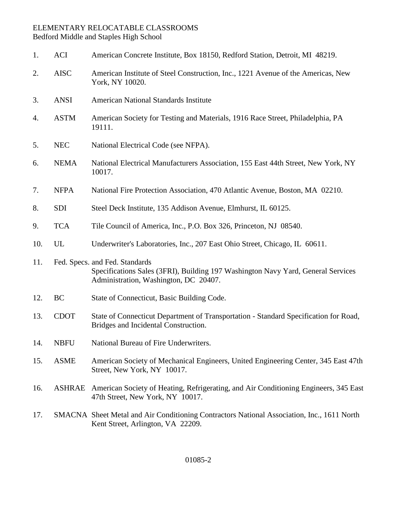### ELEMENTARY RELOCATABLE CLASSROOMS Bedford Middle and Staples High School

| 1.  | <b>ACI</b>  | American Concrete Institute, Box 18150, Redford Station, Detroit, MI 48219.                                                                                 |
|-----|-------------|-------------------------------------------------------------------------------------------------------------------------------------------------------------|
| 2.  | <b>AISC</b> | American Institute of Steel Construction, Inc., 1221 Avenue of the Americas, New<br>York, NY 10020.                                                         |
| 3.  | <b>ANSI</b> | <b>American National Standards Institute</b>                                                                                                                |
| 4.  | <b>ASTM</b> | American Society for Testing and Materials, 1916 Race Street, Philadelphia, PA<br>19111.                                                                    |
| 5.  | <b>NEC</b>  | National Electrical Code (see NFPA).                                                                                                                        |
| 6.  | <b>NEMA</b> | National Electrical Manufacturers Association, 155 East 44th Street, New York, NY<br>10017.                                                                 |
| 7.  | <b>NFPA</b> | National Fire Protection Association, 470 Atlantic Avenue, Boston, MA 02210.                                                                                |
| 8.  | <b>SDI</b>  | Steel Deck Institute, 135 Addison Avenue, Elmhurst, IL 60125.                                                                                               |
| 9.  | <b>TCA</b>  | Tile Council of America, Inc., P.O. Box 326, Princeton, NJ 08540.                                                                                           |
| 10. | UL          | Underwriter's Laboratories, Inc., 207 East Ohio Street, Chicago, IL 60611.                                                                                  |
| 11. |             | Fed. Specs. and Fed. Standards<br>Specifications Sales (3FRI), Building 197 Washington Navy Yard, General Services<br>Administration, Washington, DC 20407. |
| 12. | <b>BC</b>   | State of Connecticut, Basic Building Code.                                                                                                                  |
| 13. | <b>CDOT</b> | State of Connecticut Department of Transportation - Standard Specification for Road,<br>Bridges and Incidental Construction.                                |
| 14. | <b>NBFU</b> | National Bureau of Fire Underwriters.                                                                                                                       |
| 15. | <b>ASME</b> | American Society of Mechanical Engineers, United Engineering Center, 345 East 47th<br>Street, New York, NY 10017.                                           |
| 16. |             | ASHRAE American Society of Heating, Refrigerating, and Air Conditioning Engineers, 345 East<br>47th Street, New York, NY 10017.                             |
| 17. |             | SMACNA Sheet Metal and Air Conditioning Contractors National Association, Inc., 1611 North<br>Kent Street, Arlington, VA 22209.                             |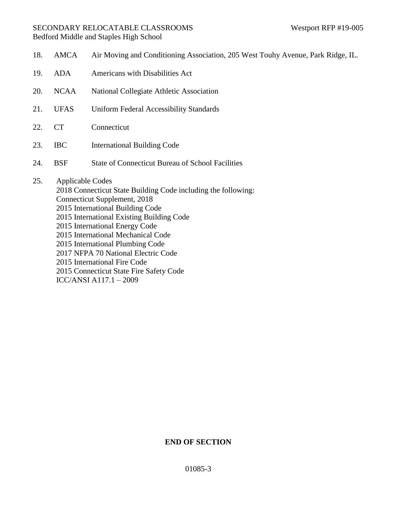### SECONDARY RELOCATABLE CLASSROOMS Westport RFP #19-005 Bedford Middle and Staples High School

| 18. | <b>AMCA</b>             | Air Moving and Conditioning Association, 205 West Touhy Avenue, Park Ridge, IL.                                                                                                                                                                                                                                                                                                                                                        |
|-----|-------------------------|----------------------------------------------------------------------------------------------------------------------------------------------------------------------------------------------------------------------------------------------------------------------------------------------------------------------------------------------------------------------------------------------------------------------------------------|
| 19. | <b>ADA</b>              | Americans with Disabilities Act                                                                                                                                                                                                                                                                                                                                                                                                        |
| 20. | <b>NCAA</b>             | National Collegiate Athletic Association                                                                                                                                                                                                                                                                                                                                                                                               |
| 21. | <b>UFAS</b>             | <b>Uniform Federal Accessibility Standards</b>                                                                                                                                                                                                                                                                                                                                                                                         |
| 22. | <b>CT</b>               | Connecticut                                                                                                                                                                                                                                                                                                                                                                                                                            |
| 23. | <b>IBC</b>              | <b>International Building Code</b>                                                                                                                                                                                                                                                                                                                                                                                                     |
| 24. | <b>BSF</b>              | <b>State of Connecticut Bureau of School Facilities</b>                                                                                                                                                                                                                                                                                                                                                                                |
| 25. | <b>Applicable Codes</b> | 2018 Connecticut State Building Code including the following:<br>Connecticut Supplement, 2018<br>2015 International Building Code<br>2015 International Existing Building Code<br>2015 International Energy Code<br>2015 International Mechanical Code<br>2015 International Plumbing Code<br>2017 NFPA 70 National Electric Code<br>2015 International Fire Code<br>2015 Connecticut State Fire Safety Code<br>ICC/ANSI A117.1 - 2009 |

# **END OF SECTION**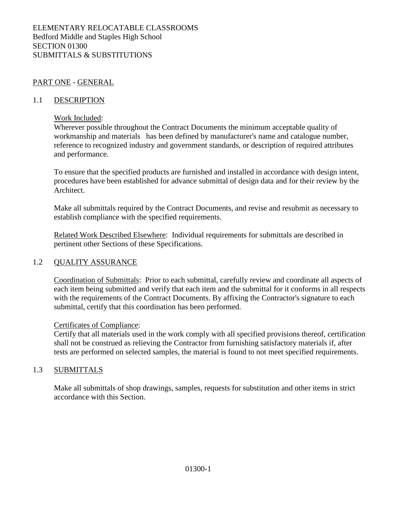### PART ONE - GENERAL

#### 1.1 DESCRIPTION

#### Work Included:

Wherever possible throughout the Contract Documents the minimum acceptable quality of workmanship and materials has been defined by manufacturer's name and catalogue number, reference to recognized industry and government standards, or description of required attributes and performance.

To ensure that the specified products are furnished and installed in accordance with design intent, procedures have been established for advance submittal of design data and for their review by the Architect.

Make all submittals required by the Contract Documents, and revise and resubmit as necessary to establish compliance with the specified requirements.

Related Work Described Elsewhere: Individual requirements for submittals are described in pertinent other Sections of these Specifications.

#### 1.2 QUALITY ASSURANCE

Coordination of Submittals: Prior to each submittal, carefully review and coordinate all aspects of each item being submitted and verify that each item and the submittal for it conforms in all respects with the requirements of the Contract Documents. By affixing the Contractor's signature to each submittal, certify that this coordination has been performed.

#### Certificates of Compliance:

Certify that all materials used in the work comply with all specified provisions thereof, certification shall not be construed as relieving the Contractor from furnishing satisfactory materials if, after tests are performed on selected samples, the material is found to not meet specified requirements.

### 1.3 SUBMITTALS

Make all submittals of shop drawings, samples, requests for substitution and other items in strict accordance with this Section.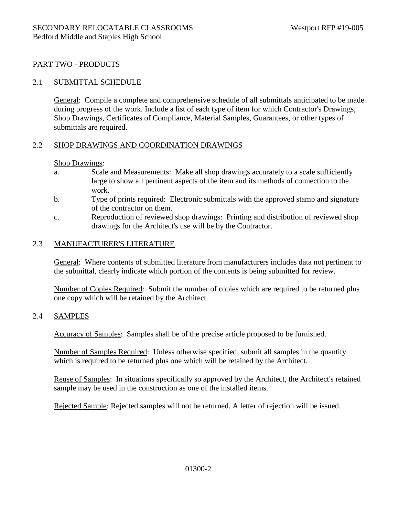### PART TWO - PRODUCTS

#### 2.1 SUBMITTAL SCHEDULE

General: Compile a complete and comprehensive schedule of all submittals anticipated to be made during progress of the work. Include a list of each type of item for which Contractor's Drawings, Shop Drawings, Certificates of Compliance, Material Samples, Guarantees, or other types of submittals are required.

#### 2.2 SHOP DRAWINGS AND COORDINATION DRAWINGS

#### Shop Drawings:

- a. Scale and Measurements: Make all shop drawings accurately to a scale sufficiently large to show all pertinent aspects of the item and its methods of connection to the work.
- b. Type of prints required: Electronic submittals with the approved stamp and signature of the contractor on them.
- c. Reproduction of reviewed shop drawings: Printing and distribution of reviewed shop drawings for the Architect's use will be by the Contractor.

#### 2.3 MANUFACTURER'S LITERATURE

General: Where contents of submitted literature from manufacturers includes data not pertinent to the submittal, clearly indicate which portion of the contents is being submitted for review.

Number of Copies Required: Submit the number of copies which are required to be returned plus one copy which will be retained by the Architect.

#### 2.4 SAMPLES

Accuracy of Samples: Samples shall be of the precise article proposed to be furnished.

Number of Samples Required: Unless otherwise specified, submit all samples in the quantity which is required to be returned plus one which will be retained by the Architect.

Reuse of Samples: In situations specifically so approved by the Architect, the Architect's retained sample may be used in the construction as one of the installed items.

Rejected Sample: Rejected samples will not be returned. A letter of rejection will be issued.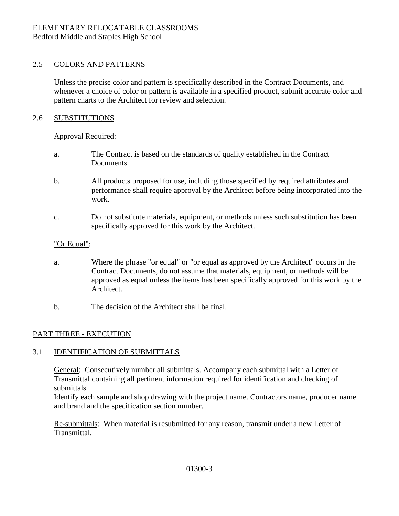### 2.5 COLORS AND PATTERNS

Unless the precise color and pattern is specifically described in the Contract Documents, and whenever a choice of color or pattern is available in a specified product, submit accurate color and pattern charts to the Architect for review and selection.

### 2.6 SUBSTITUTIONS

### Approval Required:

- a. The Contract is based on the standards of quality established in the Contract Documents.
- b. All products proposed for use, including those specified by required attributes and performance shall require approval by the Architect before being incorporated into the work.
- c. Do not substitute materials, equipment, or methods unless such substitution has been specifically approved for this work by the Architect.

### "Or Equal":

- a. Where the phrase "or equal" or "or equal as approved by the Architect" occurs in the Contract Documents, do not assume that materials, equipment, or methods will be approved as equal unless the items has been specifically approved for this work by the Architect.
- b. The decision of the Architect shall be final.

### PART THREE - EXECUTION

### 3.1 IDENTIFICATION OF SUBMITTALS

General: Consecutively number all submittals. Accompany each submittal with a Letter of Transmittal containing all pertinent information required for identification and checking of submittals.

Identify each sample and shop drawing with the project name. Contractors name, producer name and brand and the specification section number.

Re-submittals: When material is resubmitted for any reason, transmit under a new Letter of Transmittal.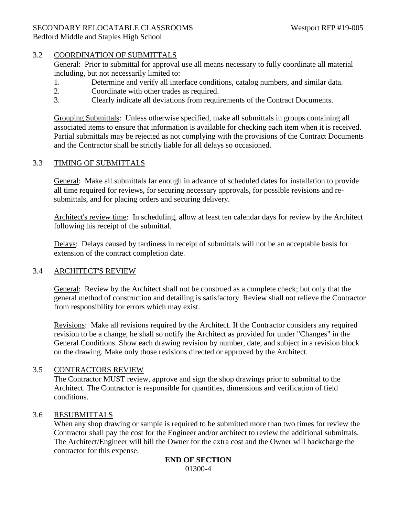### SECONDARY RELOCATABLE CLASSROOMS Westport RFP #19-005

Bedford Middle and Staples High School

### 3.2 COORDINATION OF SUBMITTALS

General: Prior to submittal for approval use all means necessary to fully coordinate all material including, but not necessarily limited to:

- 1. Determine and verify all interface conditions, catalog numbers, and similar data.
- 2. Coordinate with other trades as required.
- 3. Clearly indicate all deviations from requirements of the Contract Documents.

Grouping Submittals: Unless otherwise specified, make all submittals in groups containing all associated items to ensure that information is available for checking each item when it is received. Partial submittals may be rejected as not complying with the provisions of the Contract Documents and the Contractor shall be strictly liable for all delays so occasioned.

### 3.3 TIMING OF SUBMITTALS

General: Make all submittals far enough in advance of scheduled dates for installation to provide all time required for reviews, for securing necessary approvals, for possible revisions and resubmittals, and for placing orders and securing delivery.

Architect's review time: In scheduling, allow at least ten calendar days for review by the Architect following his receipt of the submittal.

Delays: Delays caused by tardiness in receipt of submittals will not be an acceptable basis for extension of the contract completion date.

### 3.4 ARCHITECT'S REVIEW

General: Review by the Architect shall not be construed as a complete check; but only that the general method of construction and detailing is satisfactory. Review shall not relieve the Contractor from responsibility for errors which may exist.

Revisions: Make all revisions required by the Architect. If the Contractor considers any required revision to be a change, he shall so notify the Architect as provided for under "Changes" in the General Conditions. Show each drawing revision by number, date, and subject in a revision block on the drawing. Make only those revisions directed or approved by the Architect.

### 3.5 CONTRACTORS REVIEW

The Contractor MUST review, approve and sign the shop drawings prior to submittal to the Architect. The Contractor is responsible for quantities, dimensions and verification of field conditions.

### 3.6 RESUBMITTALS

When any shop drawing or sample is required to be submitted more than two times for review the Contractor shall pay the cost for the Engineer and/or architect to review the additional submittals. The Architect/Engineer will bill the Owner for the extra cost and the Owner will backcharge the contractor for this expense.

#### **END OF SECTION** 01300-4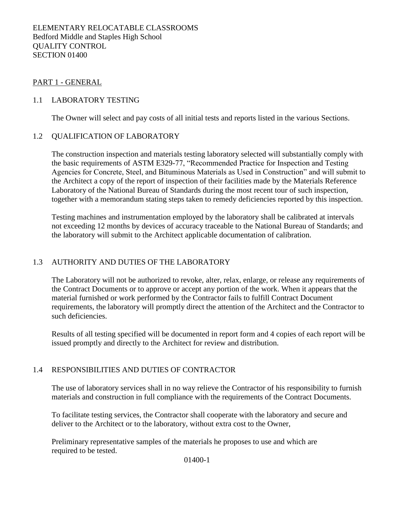#### PART 1 - GENERAL

#### 1.1 LABORATORY TESTING

The Owner will select and pay costs of all initial tests and reports listed in the various Sections.

#### 1.2 QUALIFICATION OF LABORATORY

The construction inspection and materials testing laboratory selected will substantially comply with the basic requirements of ASTM E329-77, "Recommended Practice for Inspection and Testing Agencies for Concrete, Steel, and Bituminous Materials as Used in Construction" and will submit to the Architect a copy of the report of inspection of their facilities made by the Materials Reference Laboratory of the National Bureau of Standards during the most recent tour of such inspection, together with a memorandum stating steps taken to remedy deficiencies reported by this inspection.

Testing machines and instrumentation employed by the laboratory shall be calibrated at intervals not exceeding 12 months by devices of accuracy traceable to the National Bureau of Standards; and the laboratory will submit to the Architect applicable documentation of calibration.

### 1.3 AUTHORITY AND DUTIES OF THE LABORATORY

The Laboratory will not be authorized to revoke, alter, relax, enlarge, or release any requirements of the Contract Documents or to approve or accept any portion of the work. When it appears that the material furnished or work performed by the Contractor fails to fulfill Contract Document requirements, the laboratory will promptly direct the attention of the Architect and the Contractor to such deficiencies.

Results of all testing specified will be documented in report form and 4 copies of each report will be issued promptly and directly to the Architect for review and distribution.

#### 1.4 RESPONSIBILITIES AND DUTIES OF CONTRACTOR

The use of laboratory services shall in no way relieve the Contractor of his responsibility to furnish materials and construction in full compliance with the requirements of the Contract Documents.

To facilitate testing services, the Contractor shall cooperate with the laboratory and secure and deliver to the Architect or to the laboratory, without extra cost to the Owner,

Preliminary representative samples of the materials he proposes to use and which are required to be tested.

01400-1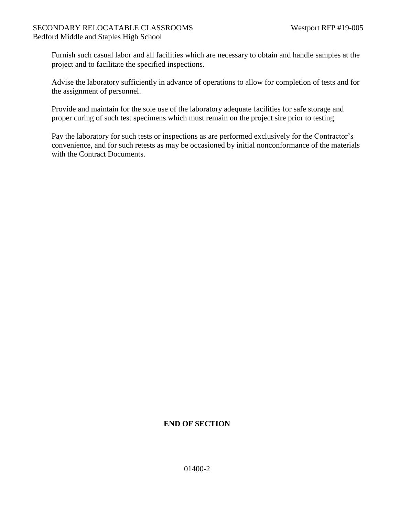### SECONDARY RELOCATABLE CLASSROOMS Westport RFP #19-005 Bedford Middle and Staples High School

Furnish such casual labor and all facilities which are necessary to obtain and handle samples at the project and to facilitate the specified inspections.

Advise the laboratory sufficiently in advance of operations to allow for completion of tests and for the assignment of personnel.

Provide and maintain for the sole use of the laboratory adequate facilities for safe storage and proper curing of such test specimens which must remain on the project sire prior to testing.

Pay the laboratory for such tests or inspections as are performed exclusively for the Contractor's convenience, and for such retests as may be occasioned by initial nonconformance of the materials with the Contract Documents.

### **END OF SECTION**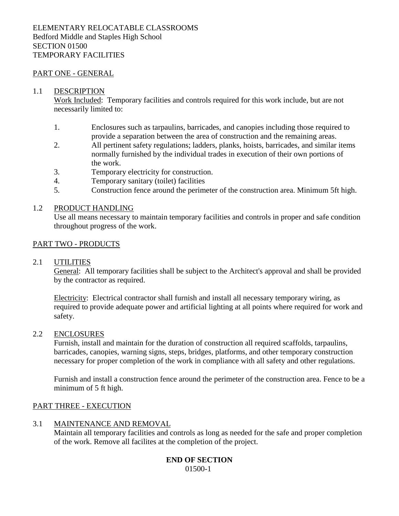#### ELEMENTARY RELOCATABLE CLASSROOMS Bedford Middle and Staples High School SECTION 01500 TEMPORARY FACILITIES

#### PART ONE - GENERAL

#### 1.1 DESCRIPTION

Work Included: Temporary facilities and controls required for this work include, but are not necessarily limited to:

- 1. Enclosures such as tarpaulins, barricades, and canopies including those required to provide a separation between the area of construction and the remaining areas.
- 2. All pertinent safety regulations; ladders, planks, hoists, barricades, and similar items normally furnished by the individual trades in execution of their own portions of the work.
- 3. Temporary electricity for construction.
- 4. Temporary sanitary (toilet) facilities
- 5. Construction fence around the perimeter of the construction area. Minimum 5ft high.

#### 1.2 PRODUCT HANDLING

Use all means necessary to maintain temporary facilities and controls in proper and safe condition throughout progress of the work.

#### PART TWO - PRODUCTS

#### 2.1 UTILITIES

General: All temporary facilities shall be subject to the Architect's approval and shall be provided by the contractor as required.

Electricity: Electrical contractor shall furnish and install all necessary temporary wiring, as required to provide adequate power and artificial lighting at all points where required for work and safety.

#### 2.2 ENCLOSURES

Furnish, install and maintain for the duration of construction all required scaffolds, tarpaulins, barricades, canopies, warning signs, steps, bridges, platforms, and other temporary construction necessary for proper completion of the work in compliance with all safety and other regulations.

Furnish and install a construction fence around the perimeter of the construction area. Fence to be a minimum of 5 ft high.

#### PART THREE - EXECUTION

#### 3.1 MAINTENANCE AND REMOVAL

Maintain all temporary facilities and controls as long as needed for the safe and proper completion of the work. Remove all facilites at the completion of the project.

#### **END OF SECTION** 01500-1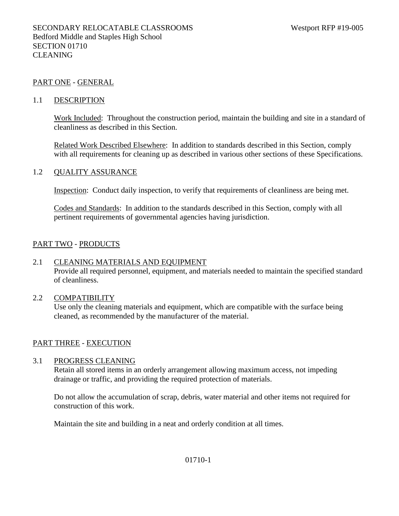#### PART ONE - GENERAL

#### 1.1 DESCRIPTION

Work Included: Throughout the construction period, maintain the building and site in a standard of cleanliness as described in this Section.

Related Work Described Elsewhere: In addition to standards described in this Section, comply with all requirements for cleaning up as described in various other sections of these Specifications.

#### 1.2 QUALITY ASSURANCE

Inspection: Conduct daily inspection, to verify that requirements of cleanliness are being met.

Codes and Standards: In addition to the standards described in this Section, comply with all pertinent requirements of governmental agencies having jurisdiction.

#### PART TWO - PRODUCTS

#### 2.1 CLEANING MATERIALS AND EQUIPMENT

Provide all required personnel, equipment, and materials needed to maintain the specified standard of cleanliness.

#### 2.2 COMPATIBILITY

Use only the cleaning materials and equipment, which are compatible with the surface being cleaned, as recommended by the manufacturer of the material.

#### PART THREE - EXECUTION

#### 3.1 PROGRESS CLEANING

Retain all stored items in an orderly arrangement allowing maximum access, not impeding drainage or traffic, and providing the required protection of materials.

Do not allow the accumulation of scrap, debris, water material and other items not required for construction of this work.

Maintain the site and building in a neat and orderly condition at all times.

#### 01710-1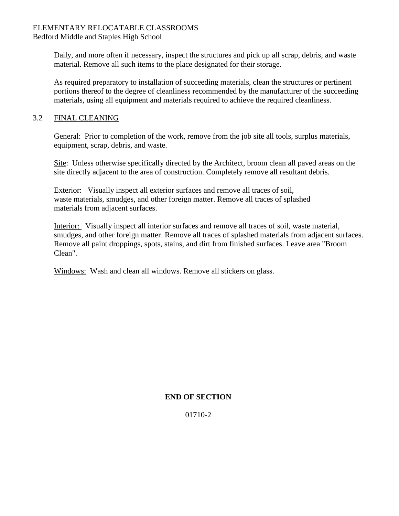#### ELEMENTARY RELOCATABLE CLASSROOMS Bedford Middle and Staples High School

Daily, and more often if necessary, inspect the structures and pick up all scrap, debris, and waste material. Remove all such items to the place designated for their storage.

As required preparatory to installation of succeeding materials, clean the structures or pertinent portions thereof to the degree of cleanliness recommended by the manufacturer of the succeeding materials, using all equipment and materials required to achieve the required cleanliness.

### 3.2 FINAL CLEANING

General: Prior to completion of the work, remove from the job site all tools, surplus materials, equipment, scrap, debris, and waste.

Site: Unless otherwise specifically directed by the Architect, broom clean all paved areas on the site directly adjacent to the area of construction. Completely remove all resultant debris.

Exterior: Visually inspect all exterior surfaces and remove all traces of soil, waste materials, smudges, and other foreign matter. Remove all traces of splashed materials from adjacent surfaces.

Interior: Visually inspect all interior surfaces and remove all traces of soil, waste material, smudges, and other foreign matter. Remove all traces of splashed materials from adjacent surfaces. Remove all paint droppings, spots, stains, and dirt from finished surfaces. Leave area "Broom Clean".

Windows: Wash and clean all windows. Remove all stickers on glass.

### **END OF SECTION**

01710-2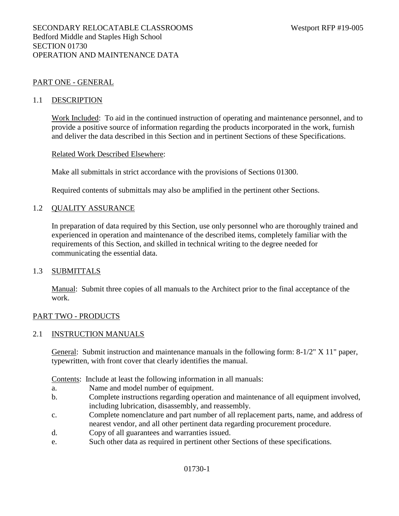#### PART ONE - GENERAL

#### 1.1 DESCRIPTION

Work Included: To aid in the continued instruction of operating and maintenance personnel, and to provide a positive source of information regarding the products incorporated in the work, furnish and deliver the data described in this Section and in pertinent Sections of these Specifications.

#### Related Work Described Elsewhere:

Make all submittals in strict accordance with the provisions of Sections 01300.

Required contents of submittals may also be amplified in the pertinent other Sections.

#### 1.2 QUALITY ASSURANCE

In preparation of data required by this Section, use only personnel who are thoroughly trained and experienced in operation and maintenance of the described items, completely familiar with the requirements of this Section, and skilled in technical writing to the degree needed for communicating the essential data.

#### 1.3 SUBMITTALS

Manual: Submit three copies of all manuals to the Architect prior to the final acceptance of the work.

#### PART TWO - PRODUCTS

#### 2.1 INSTRUCTION MANUALS

General: Submit instruction and maintenance manuals in the following form: 8-1/2" X 11" paper, typewritten, with front cover that clearly identifies the manual.

Contents: Include at least the following information in all manuals:

- a. Name and model number of equipment.
- b. Complete instructions regarding operation and maintenance of all equipment involved, including lubrication, disassembly, and reassembly.
- c. Complete nomenclature and part number of all replacement parts, name, and address of nearest vendor, and all other pertinent data regarding procurement procedure.
- d. Copy of all guarantees and warranties issued.
- e. Such other data as required in pertinent other Sections of these specifications.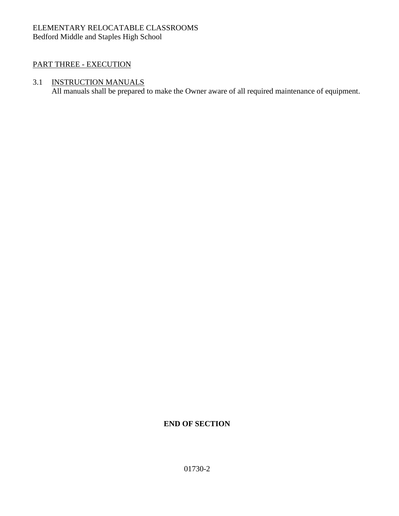### ELEMENTARY RELOCATABLE CLASSROOMS Bedford Middle and Staples High School

### PART THREE - EXECUTION

### 3.1 INSTRUCTION MANUALS

All manuals shall be prepared to make the Owner aware of all required maintenance of equipment.

### **END OF SECTION**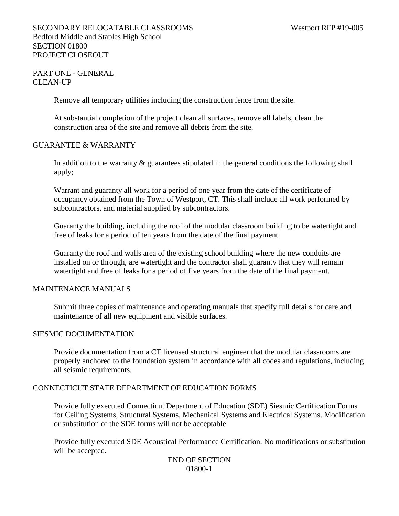#### PART ONE - GENERAL CLEAN-UP

Remove all temporary utilities including the construction fence from the site.

At substantial completion of the project clean all surfaces, remove all labels, clean the construction area of the site and remove all debris from the site.

#### GUARANTEE & WARRANTY

In addition to the warranty & guarantees stipulated in the general conditions the following shall apply;

Warrant and guaranty all work for a period of one year from the date of the certificate of occupancy obtained from the Town of Westport, CT. This shall include all work performed by subcontractors, and material supplied by subcontractors.

Guaranty the building, including the roof of the modular classroom building to be watertight and free of leaks for a period of ten years from the date of the final payment.

Guaranty the roof and walls area of the existing school building where the new conduits are installed on or through, are watertight and the contractor shall guaranty that they will remain watertight and free of leaks for a period of five years from the date of the final payment.

#### MAINTENANCE MANUALS

Submit three copies of maintenance and operating manuals that specify full details for care and maintenance of all new equipment and visible surfaces.

#### SIESMIC DOCUMENTATION

Provide documentation from a CT licensed structural engineer that the modular classrooms are properly anchored to the foundation system in accordance with all codes and regulations, including all seismic requirements.

#### CONNECTICUT STATE DEPARTMENT OF EDUCATION FORMS

Provide fully executed Connecticut Department of Education (SDE) Siesmic Certification Forms for Ceiling Systems, Structural Systems, Mechanical Systems and Electrical Systems. Modification or substitution of the SDE forms will not be acceptable.

Provide fully executed SDE Acoustical Performance Certification. No modifications or substitution will be accepted.

#### END OF SECTION 01800-1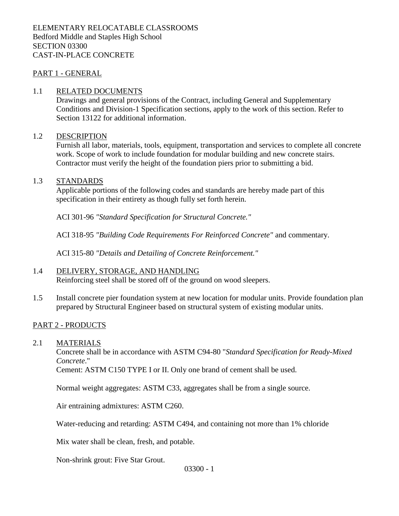#### PART 1 - GENERAL

#### 1.1 RELATED DOCUMENTS

Drawings and general provisions of the Contract, including General and Supplementary Conditions and Division-1 Specification sections, apply to the work of this section. Refer to Section 13122 for additional information.

#### 1.2 DESCRIPTION

Furnish all labor, materials, tools, equipment, transportation and services to complete all concrete work. Scope of work to include foundation for modular building and new concrete stairs. Contractor must verify the height of the foundation piers prior to submitting a bid.

#### 1.3 STANDARDS

Applicable portions of the following codes and standards are hereby made part of this specification in their entirety as though fully set forth herein.

ACI 301-96 *"Standard Specification for Structural Concrete."*

ACI 318-95 *"Building Code Requirements For Reinforced Concrete"* and commentary.

ACI 315-80 *"Details and Detailing of Concrete Reinforcement."*

#### 1.4 DELIVERY, STORAGE, AND HANDLING

Reinforcing steel shall be stored off of the ground on wood sleepers.

1.5 Install concrete pier foundation system at new location for modular units. Provide foundation plan prepared by Structural Engineer based on structural system of existing modular units.

#### PART 2 - PRODUCTS

#### 2.1 MATERIALS

Concrete shall be in accordance with ASTM C94-80 "*Standard Specification for Ready-Mixed Concrete*."

Cement: ASTM C150 TYPE I or II. Only one brand of cement shall be used.

Normal weight aggregates: ASTM C33, aggregates shall be from a single source.

Air entraining admixtures: ASTM C260.

Water-reducing and retarding: ASTM C494, and containing not more than 1% chloride

Mix water shall be clean, fresh, and potable.

Non-shrink grout: Five Star Grout.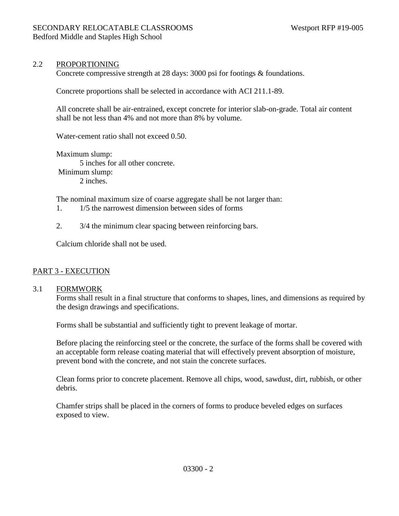### 2.2 PROPORTIONING

Concrete compressive strength at 28 days: 3000 psi for footings & foundations.

Concrete proportions shall be selected in accordance with ACI 211.1-89.

All concrete shall be air-entrained, except concrete for interior slab-on-grade. Total air content shall be not less than 4% and not more than 8% by volume.

Water-cement ratio shall not exceed 0.50.

Maximum slump: 5 inches for all other concrete. Minimum slump: 2 inches.

The nominal maximum size of coarse aggregate shall be not larger than:

- 1. 1/5 the narrowest dimension between sides of forms
- 2. 3/4 the minimum clear spacing between reinforcing bars.

Calcium chloride shall not be used.

#### PART 3 - EXECUTION

#### 3.1 FORMWORK

Forms shall result in a final structure that conforms to shapes, lines, and dimensions as required by the design drawings and specifications.

Forms shall be substantial and sufficiently tight to prevent leakage of mortar.

Before placing the reinforcing steel or the concrete, the surface of the forms shall be covered with an acceptable form release coating material that will effectively prevent absorption of moisture, prevent bond with the concrete, and not stain the concrete surfaces.

Clean forms prior to concrete placement. Remove all chips, wood, sawdust, dirt, rubbish, or other debris.

Chamfer strips shall be placed in the corners of forms to produce beveled edges on surfaces exposed to view.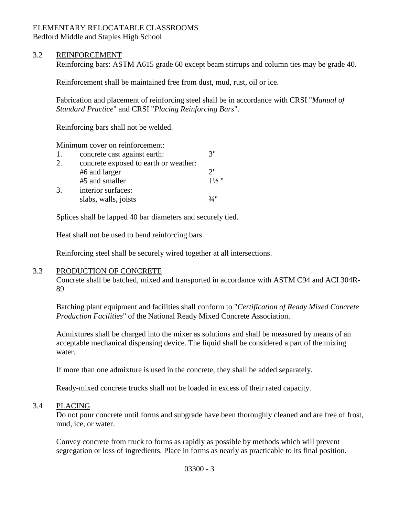## ELEMENTARY RELOCATABLE CLASSROOMS

Bedford Middle and Staples High School

### 3.2 REINFORCEMENT

Reinforcing bars: ASTM A615 grade 60 except beam stirrups and column ties may be grade 40.

Reinforcement shall be maintained free from dust, mud, rust, oil or ice.

Fabrication and placement of reinforcing steel shall be in accordance with CRSI "*Manual of Standard Practice*" and CRSI "*Placing Reinforcing Bars*".

Reinforcing bars shall not be welded.

Minimum cover on reinforcement:

| concrete cast against earth:          | 3"             |
|---------------------------------------|----------------|
| concrete exposed to earth or weather: |                |
| #6 and larger                         | つ"             |
| #5 and smaller                        | $1\frac{1}{2}$ |
| interior surfaces:                    |                |
| slabs, walls, joists                  | 3/4"           |
|                                       |                |

Splices shall be lapped 40 bar diameters and securely tied.

Heat shall not be used to bend reinforcing bars.

Reinforcing steel shall be securely wired together at all intersections.

### 3.3 PRODUCTION OF CONCRETE

Concrete shall be batched, mixed and transported in accordance with ASTM C94 and ACI 304R-89.

Batching plant equipment and facilities shall conform to "*Certification of Ready Mixed Concrete Production Facilities*" of the National Ready Mixed Concrete Association.

Admixtures shall be charged into the mixer as solutions and shall be measured by means of an acceptable mechanical dispensing device. The liquid shall be considered a part of the mixing water.

If more than one admixture is used in the concrete, they shall be added separately.

Ready-mixed concrete trucks shall not be loaded in excess of their rated capacity.

### 3.4 PLACING

Do not pour concrete until forms and subgrade have been thoroughly cleaned and are free of frost, mud, ice, or water.

Convey concrete from truck to forms as rapidly as possible by methods which will prevent segregation or loss of ingredients. Place in forms as nearly as practicable to its final position.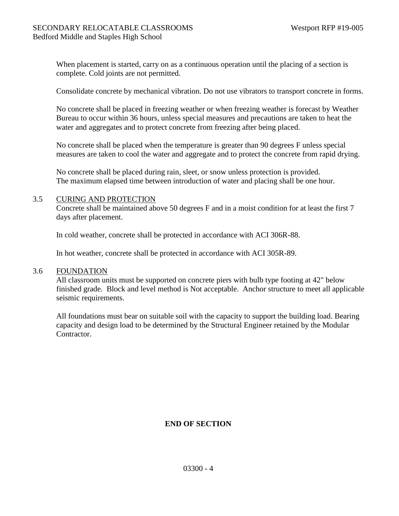When placement is started, carry on as a continuous operation until the placing of a section is complete. Cold joints are not permitted.

Consolidate concrete by mechanical vibration. Do not use vibrators to transport concrete in forms.

No concrete shall be placed in freezing weather or when freezing weather is forecast by Weather Bureau to occur within 36 hours, unless special measures and precautions are taken to heat the water and aggregates and to protect concrete from freezing after being placed.

No concrete shall be placed when the temperature is greater than 90 degrees F unless special measures are taken to cool the water and aggregate and to protect the concrete from rapid drying.

No concrete shall be placed during rain, sleet, or snow unless protection is provided. The maximum elapsed time between introduction of water and placing shall be one hour.

#### 3.5 CURING AND PROTECTION

Concrete shall be maintained above 50 degrees F and in a moist condition for at least the first 7 days after placement.

In cold weather, concrete shall be protected in accordance with ACI 306R-88.

In hot weather, concrete shall be protected in accordance with ACI 305R-89.

#### 3.6 FOUNDATION

All classroom units must be supported on concrete piers with bulb type footing at 42" below finished grade. Block and level method is Not acceptable. Anchor structure to meet all applicable seismic requirements.

All foundations must bear on suitable soil with the capacity to support the building load. Bearing capacity and design load to be determined by the Structural Engineer retained by the Modular Contractor.

### **END OF SECTION**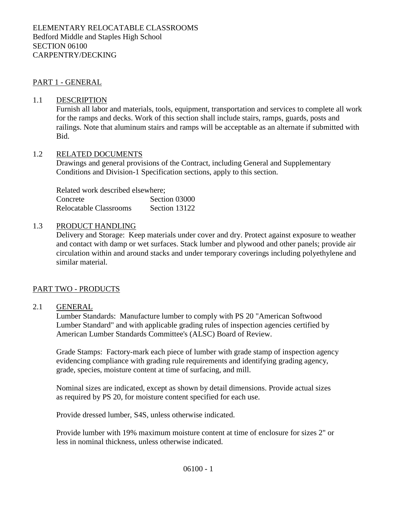#### PART 1 - GENERAL

#### 1.1 DESCRIPTION

Furnish all labor and materials, tools, equipment, transportation and services to complete all work for the ramps and decks. Work of this section shall include stairs, ramps, guards, posts and railings. Note that aluminum stairs and ramps will be acceptable as an alternate if submitted with Bid.

#### 1.2 RELATED DOCUMENTS

Drawings and general provisions of the Contract, including General and Supplementary Conditions and Division-1 Specification sections, apply to this section.

Related work described elsewhere; Concrete Section 03000 Relocatable Classrooms Section 13122

#### 1.3 PRODUCT HANDLING

Delivery and Storage: Keep materials under cover and dry. Protect against exposure to weather and contact with damp or wet surfaces. Stack lumber and plywood and other panels; provide air circulation within and around stacks and under temporary coverings including polyethylene and similar material.

#### PART TWO - PRODUCTS

#### 2.1 GENERAL

Lumber Standards: Manufacture lumber to comply with PS 20 "American Softwood Lumber Standard" and with applicable grading rules of inspection agencies certified by American Lumber Standards Committee's (ALSC) Board of Review.

Grade Stamps: Factory-mark each piece of lumber with grade stamp of inspection agency evidencing compliance with grading rule requirements and identifying grading agency, grade, species, moisture content at time of surfacing, and mill.

Nominal sizes are indicated, except as shown by detail dimensions. Provide actual sizes as required by PS 20, for moisture content specified for each use.

Provide dressed lumber, S4S, unless otherwise indicated.

Provide lumber with 19% maximum moisture content at time of enclosure for sizes 2" or less in nominal thickness, unless otherwise indicated.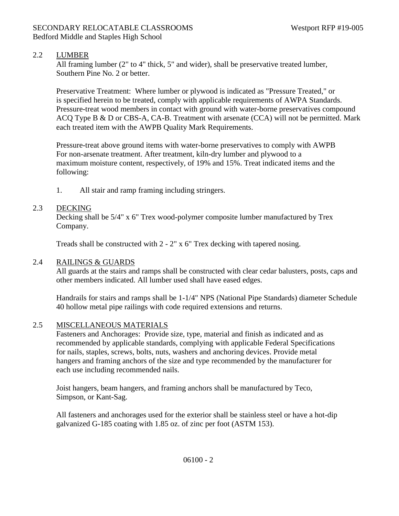### 2.2 LUMBER

All framing lumber (2" to 4" thick, 5" and wider), shall be preservative treated lumber, Southern Pine No. 2 or better.

Preservative Treatment: Where lumber or plywood is indicated as "Pressure Treated," or is specified herein to be treated, comply with applicable requirements of AWPA Standards. Pressure-treat wood members in contact with ground with water-borne preservatives compound ACQ Type B & D or CBS-A, CA-B. Treatment with arsenate (CCA) will not be permitted. Mark each treated item with the AWPB Quality Mark Requirements.

Pressure-treat above ground items with water-borne preservatives to comply with AWPB For non-arsenate treatment. After treatment, kiln-dry lumber and plywood to a maximum moisture content, respectively, of 19% and 15%. Treat indicated items and the following:

1. All stair and ramp framing including stringers.

### 2.3 DECKING

Decking shall be 5/4" x 6" Trex wood-polymer composite lumber manufactured by Trex Company.

Treads shall be constructed with 2 - 2" x 6" Trex decking with tapered nosing.

### 2.4 RAILINGS & GUARDS

All guards at the stairs and ramps shall be constructed with clear cedar balusters, posts, caps and other members indicated. All lumber used shall have eased edges.

Handrails for stairs and ramps shall be 1-1/4" NPS (National Pipe Standards) diameter Schedule 40 hollow metal pipe railings with code required extensions and returns.

### 2.5 MISCELLANEOUS MATERIALS

Fasteners and Anchorages: Provide size, type, material and finish as indicated and as recommended by applicable standards, complying with applicable Federal Specifications for nails, staples, screws, bolts, nuts, washers and anchoring devices. Provide metal hangers and framing anchors of the size and type recommended by the manufacturer for each use including recommended nails.

Joist hangers, beam hangers, and framing anchors shall be manufactured by Teco, Simpson, or Kant-Sag.

All fasteners and anchorages used for the exterior shall be stainless steel or have a hot-dip galvanized G-185 coating with 1.85 oz. of zinc per foot (ASTM 153).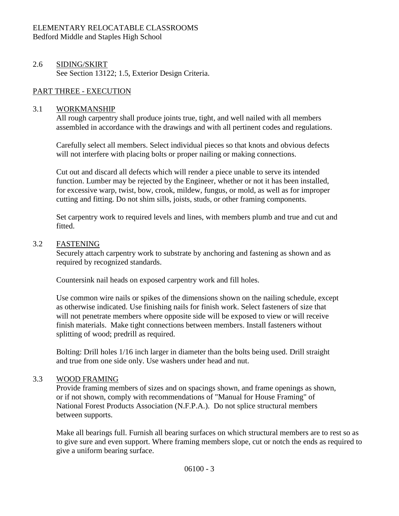#### ELEMENTARY RELOCATABLE CLASSROOMS Bedford Middle and Staples High School

### 2.6 SIDING/SKIRT See Section 13122; 1.5, Exterior Design Criteria.

### PART THREE - EXECUTION

#### 3.1 WORKMANSHIP

All rough carpentry shall produce joints true, tight, and well nailed with all members assembled in accordance with the drawings and with all pertinent codes and regulations.

Carefully select all members. Select individual pieces so that knots and obvious defects will not interfere with placing bolts or proper nailing or making connections.

Cut out and discard all defects which will render a piece unable to serve its intended function. Lumber may be rejected by the Engineer, whether or not it has been installed, for excessive warp, twist, bow, crook, mildew, fungus, or mold, as well as for improper cutting and fitting. Do not shim sills, joists, studs, or other framing components.

Set carpentry work to required levels and lines, with members plumb and true and cut and fitted.

#### 3.2 FASTENING

Securely attach carpentry work to substrate by anchoring and fastening as shown and as required by recognized standards.

Countersink nail heads on exposed carpentry work and fill holes.

Use common wire nails or spikes of the dimensions shown on the nailing schedule, except as otherwise indicated. Use finishing nails for finish work. Select fasteners of size that will not penetrate members where opposite side will be exposed to view or will receive finish materials. Make tight connections between members. Install fasteners without splitting of wood; predrill as required.

Bolting: Drill holes 1/16 inch larger in diameter than the bolts being used. Drill straight and true from one side only. Use washers under head and nut.

#### 3.3 WOOD FRAMING

Provide framing members of sizes and on spacings shown, and frame openings as shown, or if not shown, comply with recommendations of "Manual for House Framing" of National Forest Products Association (N.F.P.A.). Do not splice structural members between supports.

Make all bearings full. Furnish all bearing surfaces on which structural members are to rest so as to give sure and even support. Where framing members slope, cut or notch the ends as required to give a uniform bearing surface.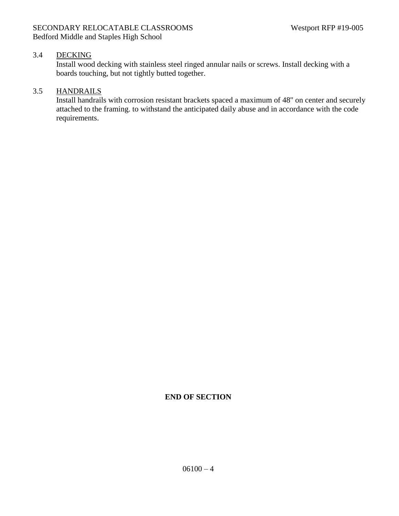### 3.4 DECKING

Install wood decking with stainless steel ringed annular nails or screws. Install decking with a boards touching, but not tightly butted together.

### 3.5 HANDRAILS

Install handrails with corrosion resistant brackets spaced a maximum of 48" on center and securely attached to the framing. to withstand the anticipated daily abuse and in accordance with the code requirements.

### **END OF SECTION**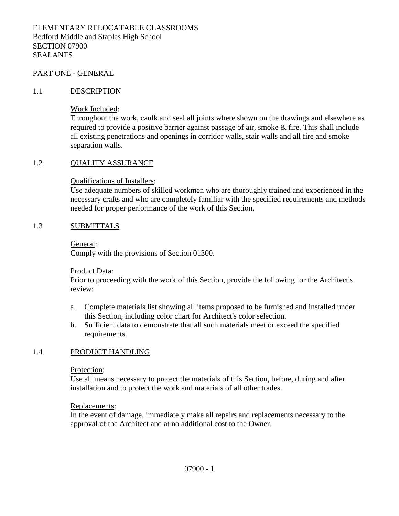#### PART ONE - GENERAL

#### 1.1 DESCRIPTION

Work Included:

Throughout the work, caulk and seal all joints where shown on the drawings and elsewhere as required to provide a positive barrier against passage of air, smoke & fire. This shall include all existing penetrations and openings in corridor walls, stair walls and all fire and smoke separation walls.

### 1.2 QUALITY ASSURANCE

Qualifications of Installers:

Use adequate numbers of skilled workmen who are thoroughly trained and experienced in the necessary crafts and who are completely familiar with the specified requirements and methods needed for proper performance of the work of this Section.

#### 1.3 SUBMITTALS

General:

Comply with the provisions of Section 01300.

Product Data:

Prior to proceeding with the work of this Section, provide the following for the Architect's review:

- a. Complete materials list showing all items proposed to be furnished and installed under this Section, including color chart for Architect's color selection.
- b. Sufficient data to demonstrate that all such materials meet or exceed the specified requirements.

#### 1.4 PRODUCT HANDLING

Protection:

Use all means necessary to protect the materials of this Section, before, during and after installation and to protect the work and materials of all other trades.

#### Replacements:

In the event of damage, immediately make all repairs and replacements necessary to the approval of the Architect and at no additional cost to the Owner.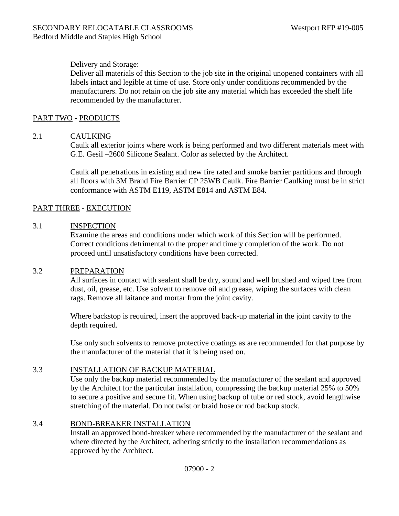### Delivery and Storage:

Deliver all materials of this Section to the job site in the original unopened containers with all labels intact and legible at time of use. Store only under conditions recommended by the manufacturers. Do not retain on the job site any material which has exceeded the shelf life recommended by the manufacturer.

### PART TWO - PRODUCTS

### 2.1 CAULKING

Caulk all exterior joints where work is being performed and two different materials meet with G.E. Gesil –2600 Silicone Sealant. Color as selected by the Architect.

Caulk all penetrations in existing and new fire rated and smoke barrier partitions and through all floors with 3M Brand Fire Barrier CP 25WB Caulk. Fire Barrier Caulking must be in strict conformance with ASTM E119, ASTM E814 and ASTM E84.

### PART THREE - EXECUTION

### 3.1 INSPECTION

Examine the areas and conditions under which work of this Section will be performed. Correct conditions detrimental to the proper and timely completion of the work. Do not proceed until unsatisfactory conditions have been corrected.

### 3.2 PREPARATION

All surfaces in contact with sealant shall be dry, sound and well brushed and wiped free from dust, oil, grease, etc. Use solvent to remove oil and grease, wiping the surfaces with clean rags. Remove all laitance and mortar from the joint cavity.

Where backstop is required, insert the approved back-up material in the joint cavity to the depth required.

Use only such solvents to remove protective coatings as are recommended for that purpose by the manufacturer of the material that it is being used on.

### 3.3 INSTALLATION OF BACKUP MATERIAL

Use only the backup material recommended by the manufacturer of the sealant and approved by the Architect for the particular installation, compressing the backup material 25% to 50% to secure a positive and secure fit. When using backup of tube or red stock, avoid lengthwise stretching of the material. Do not twist or braid hose or rod backup stock.

### 3.4 BOND-BREAKER INSTALLATION

Install an approved bond-breaker where recommended by the manufacturer of the sealant and where directed by the Architect, adhering strictly to the installation recommendations as approved by the Architect.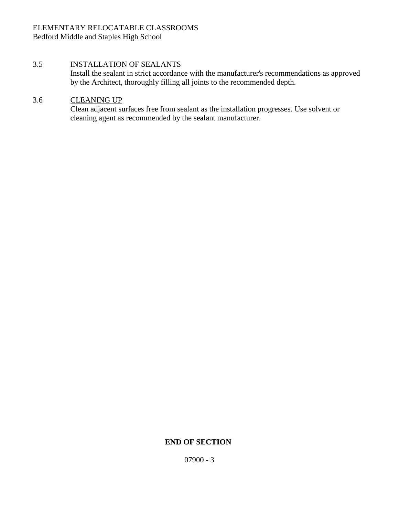#### ELEMENTARY RELOCATABLE CLASSROOMS Bedford Middle and Staples High School

### 3.5 INSTALLATION OF SEALANTS

Install the sealant in strict accordance with the manufacturer's recommendations as approved by the Architect, thoroughly filling all joints to the recommended depth.

### 3.6 CLEANING UP

Clean adjacent surfaces free from sealant as the installation progresses. Use solvent or cleaning agent as recommended by the sealant manufacturer.

### **END OF SECTION**

07900 - 3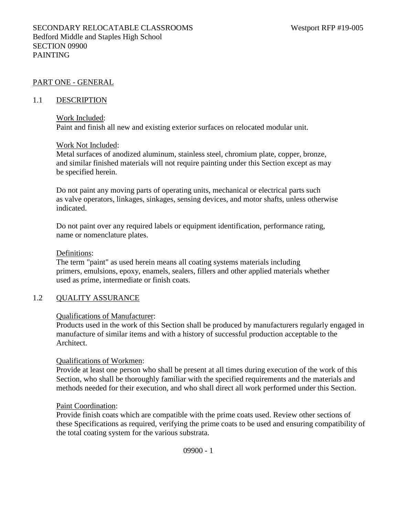#### PART ONE - GENERAL

#### 1.1 DESCRIPTION

#### Work Included:

Paint and finish all new and existing exterior surfaces on relocated modular unit.

#### Work Not Included:

Metal surfaces of anodized aluminum, stainless steel, chromium plate, copper, bronze, and similar finished materials will not require painting under this Section except as may be specified herein.

Do not paint any moving parts of operating units, mechanical or electrical parts such as valve operators, linkages, sinkages, sensing devices, and motor shafts, unless otherwise indicated.

Do not paint over any required labels or equipment identification, performance rating, name or nomenclature plates.

#### Definitions:

The term "paint" as used herein means all coating systems materials including primers, emulsions, epoxy, enamels, sealers, fillers and other applied materials whether used as prime, intermediate or finish coats.

### 1.2 QUALITY ASSURANCE

#### Qualifications of Manufacturer:

Products used in the work of this Section shall be produced by manufacturers regularly engaged in manufacture of similar items and with a history of successful production acceptable to the Architect.

#### Qualifications of Workmen:

Provide at least one person who shall be present at all times during execution of the work of this Section, who shall be thoroughly familiar with the specified requirements and the materials and methods needed for their execution, and who shall direct all work performed under this Section.

#### Paint Coordination:

Provide finish coats which are compatible with the prime coats used. Review other sections of these Specifications as required, verifying the prime coats to be used and ensuring compatibility of the total coating system for the various substrata.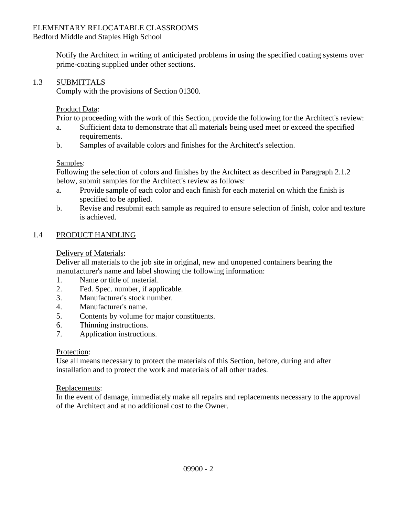### ELEMENTARY RELOCATABLE CLASSROOMS

Bedford Middle and Staples High School

Notify the Architect in writing of anticipated problems in using the specified coating systems over prime-coating supplied under other sections.

### 1.3 SUBMITTALS

Comply with the provisions of Section 01300.

### Product Data:

Prior to proceeding with the work of this Section, provide the following for the Architect's review:

- a. Sufficient data to demonstrate that all materials being used meet or exceed the specified requirements.
- b. Samples of available colors and finishes for the Architect's selection.

### Samples:

Following the selection of colors and finishes by the Architect as described in Paragraph 2.1.2 below, submit samples for the Architect's review as follows:

- a. Provide sample of each color and each finish for each material on which the finish is specified to be applied.
- b. Revise and resubmit each sample as required to ensure selection of finish, color and texture is achieved.

### 1.4 PRODUCT HANDLING

### Delivery of Materials:

Deliver all materials to the job site in original, new and unopened containers bearing the manufacturer's name and label showing the following information:

- 1. Name or title of material.
- 2. Fed. Spec. number, if applicable.
- 3. Manufacturer's stock number.
- 4. Manufacturer's name.
- 5. Contents by volume for major constituents.
- 6. Thinning instructions.
- 7. Application instructions.

### Protection:

Use all means necessary to protect the materials of this Section, before, during and after installation and to protect the work and materials of all other trades.

### Replacements:

In the event of damage, immediately make all repairs and replacements necessary to the approval of the Architect and at no additional cost to the Owner.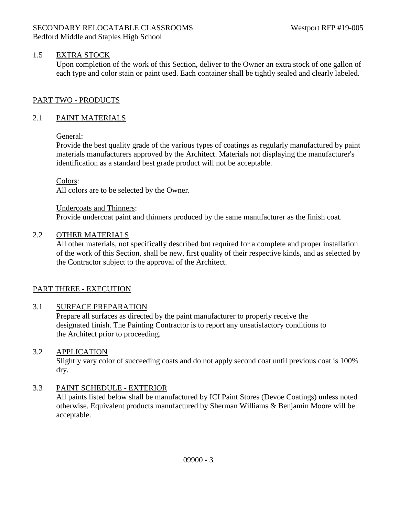### 1.5 EXTRA STOCK

Upon completion of the work of this Section, deliver to the Owner an extra stock of one gallon of each type and color stain or paint used. Each container shall be tightly sealed and clearly labeled.

### PART TWO - PRODUCTS

### 2.1 PAINT MATERIALS

### General:

Provide the best quality grade of the various types of coatings as regularly manufactured by paint materials manufacturers approved by the Architect. Materials not displaying the manufacturer's identification as a standard best grade product will not be acceptable.

Colors:

All colors are to be selected by the Owner.

Undercoats and Thinners: Provide undercoat paint and thinners produced by the same manufacturer as the finish coat.

### 2.2 OTHER MATERIALS

All other materials, not specifically described but required for a complete and proper installation of the work of this Section, shall be new, first quality of their respective kinds, and as selected by the Contractor subject to the approval of the Architect.

### PART THREE - EXECUTION

### 3.1 SURFACE PREPARATION

Prepare all surfaces as directed by the paint manufacturer to properly receive the designated finish. The Painting Contractor is to report any unsatisfactory conditions to the Architect prior to proceeding.

### 3.2 APPLICATION

Slightly vary color of succeeding coats and do not apply second coat until previous coat is 100% dry.

### 3.3 PAINT SCHEDULE - EXTERIOR

All paints listed below shall be manufactured by ICI Paint Stores (Devoe Coatings) unless noted otherwise. Equivalent products manufactured by Sherman Williams & Benjamin Moore will be acceptable.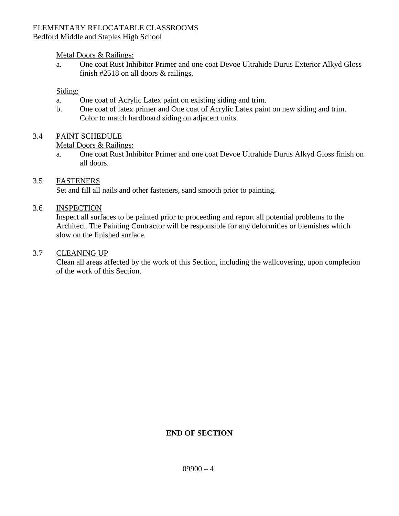## ELEMENTARY RELOCATABLE CLASSROOMS

### Bedford Middle and Staples High School

### Metal Doors & Railings:

a. One coat Rust Inhibitor Primer and one coat Devoe Ultrahide Durus Exterior Alkyd Gloss finish #2518 on all doors & railings.

#### Siding:

- a. One coat of Acrylic Latex paint on existing siding and trim.
- b. One coat of latex primer and One coat of Acrylic Latex paint on new siding and trim. Color to match hardboard siding on adjacent units.

### 3.4 PAINT SCHEDULE

#### Metal Doors & Railings:

a. One coat Rust Inhibitor Primer and one coat Devoe Ultrahide Durus Alkyd Gloss finish on all doors.

### 3.5 FASTENERS

Set and fill all nails and other fasteners, sand smooth prior to painting.

### 3.6 INSPECTION

Inspect all surfaces to be painted prior to proceeding and report all potential problems to the Architect. The Painting Contractor will be responsible for any deformities or blemishes which slow on the finished surface.

#### 3.7 CLEANING UP

Clean all areas affected by the work of this Section, including the wallcovering, upon completion of the work of this Section.

### **END OF SECTION**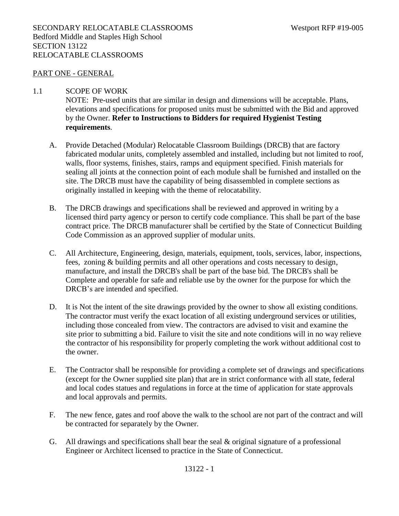#### PART ONE - GENERAL

#### 1.1 SCOPE OF WORK

NOTE: Pre-used units that are similar in design and dimensions will be acceptable. Plans, elevations and specifications for proposed units must be submitted with the Bid and approved by the Owner. **Refer to Instructions to Bidders for required Hygienist Testing requirements**.

- A. Provide Detached (Modular) Relocatable Classroom Buildings (DRCB) that are factory fabricated modular units, completely assembled and installed, including but not limited to roof, walls, floor systems, finishes, stairs, ramps and equipment specified. Finish materials for sealing all joints at the connection point of each module shall be furnished and installed on the site. The DRCB must have the capability of being disassembled in complete sections as originally installed in keeping with the theme of relocatability.
- B. The DRCB drawings and specifications shall be reviewed and approved in writing by a licensed third party agency or person to certify code compliance. This shall be part of the base contract price. The DRCB manufacturer shall be certified by the State of Connecticut Building Code Commission as an approved supplier of modular units.
- C. All Architecture, Engineering, design, materials, equipment, tools, services, labor, inspections, fees, zoning & building permits and all other operations and costs necessary to design, manufacture, and install the DRCB's shall be part of the base bid. The DRCB's shall be Complete and operable for safe and reliable use by the owner for the purpose for which the DRCB's are intended and specified.
- D. It is Not the intent of the site drawings provided by the owner to show all existing conditions. The contractor must verify the exact location of all existing underground services or utilities, including those concealed from view. The contractors are advised to visit and examine the site prior to submitting a bid. Failure to visit the site and note conditions will in no way relieve the contractor of his responsibility for properly completing the work without additional cost to the owner.
- E. The Contractor shall be responsible for providing a complete set of drawings and specifications (except for the Owner supplied site plan) that are in strict conformance with all state, federal and local codes statues and regulations in force at the time of application for state approvals and local approvals and permits.
- F. The new fence, gates and roof above the walk to the school are not part of the contract and will be contracted for separately by the Owner.
- G. All drawings and specifications shall bear the seal  $\&$  original signature of a professional Engineer or Architect licensed to practice in the State of Connecticut.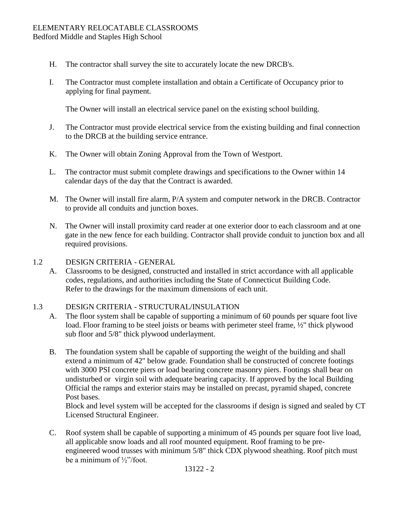#### ELEMENTARY RELOCATABLE CLASSROOMS Bedford Middle and Staples High School

- H. The contractor shall survey the site to accurately locate the new DRCB's.
- I. The Contractor must complete installation and obtain a Certificate of Occupancy prior to applying for final payment.

The Owner will install an electrical service panel on the existing school building.

- J. The Contractor must provide electrical service from the existing building and final connection to the DRCB at the building service entrance.
- K. The Owner will obtain Zoning Approval from the Town of Westport.
- L. The contractor must submit complete drawings and specifications to the Owner within 14 calendar days of the day that the Contract is awarded.
- M. The Owner will install fire alarm, P/A system and computer network in the DRCB. Contractor to provide all conduits and junction boxes.
- N. The Owner will install proximity card reader at one exterior door to each classroom and at one gate in the new fence for each building. Contractor shall provide conduit to junction box and all required provisions.

#### 1.2 DESIGN CRITERIA - GENERAL

A. Classrooms to be designed, constructed and installed in strict accordance with all applicable codes, regulations, and authorities including the State of Connecticut Building Code. Refer to the drawings for the maximum dimensions of each unit.

#### 1.3 DESIGN CRITERIA - STRUCTURAL/INSULATION

- A. The floor system shall be capable of supporting a minimum of 60 pounds per square foot live load. Floor framing to be steel joists or beams with perimeter steel frame, ½" thick plywood sub floor and 5/8" thick plywood underlayment.
- B. The foundation system shall be capable of supporting the weight of the building and shall extend a minimum of 42" below grade. Foundation shall be constructed of concrete footings with 3000 PSI concrete piers or load bearing concrete masonry piers. Footings shall bear on undisturbed or virgin soil with adequate bearing capacity. If approved by the local Building Official the ramps and exterior stairs may be installed on precast, pyramid shaped, concrete Post bases.

Block and level system will be accepted for the classrooms if design is signed and sealed by CT Licensed Structural Engineer.

C. Roof system shall be capable of supporting a minimum of 45 pounds per square foot live load, all applicable snow loads and all roof mounted equipment. Roof framing to be pre engineered wood trusses with minimum 5/8" thick CDX plywood sheathing. Roof pitch must be a minimum of ½"/foot.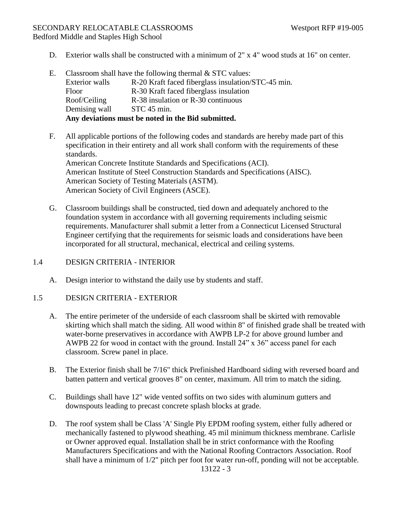#### SECONDARY RELOCATABLE CLASSROOMS Westport RFP #19-005 Bedford Middle and Staples High School

- D. Exterior walls shall be constructed with a minimum of 2" x 4" wood studs at 16" on center.
- E. Classroom shall have the following thermal  $&$  STC values: Exterior walls R-20 Kraft faced fiberglass insulation/STC-45 min. Floor R-30 Kraft faced fiberglass insulation Roof/Ceiling R-38 insulation or R-30 continuous Demising wall STC 45 min. **Any deviations must be noted in the Bid submitted.**
- F. All applicable portions of the following codes and standards are hereby made part of this specification in their entirety and all work shall conform with the requirements of these standards. American Concrete Institute Standards and Specifications (ACI). American Institute of Steel Construction Standards and Specifications (AISC). American Society of Testing Materials (ASTM). American Society of Civil Engineers (ASCE).
- G. Classroom buildings shall be constructed, tied down and adequately anchored to the foundation system in accordance with all governing requirements including seismic requirements. Manufacturer shall submit a letter from a Connecticut Licensed Structural Engineer certifying that the requirements for seismic loads and considerations have been incorporated for all structural, mechanical, electrical and ceiling systems.

### 1.4 DESIGN CRITERIA - INTERIOR

A. Design interior to withstand the daily use by students and staff.

#### 1.5 DESIGN CRITERIA - EXTERIOR

- A. The entire perimeter of the underside of each classroom shall be skirted with removable skirting which shall match the siding. All wood within 8" of finished grade shall be treated with water-borne preservatives in accordance with AWPB LP-2 for above ground lumber and AWPB 22 for wood in contact with the ground. Install 24" x 36" access panel for each classroom. Screw panel in place.
- B. The Exterior finish shall be 7/16" thick Prefinished Hardboard siding with reversed board and batten pattern and vertical grooves 8" on center, maximum. All trim to match the siding.
- C. Buildings shall have 12" wide vented soffits on two sides with aluminum gutters and downspouts leading to precast concrete splash blocks at grade.
- D. The roof system shall be Class 'A' Single Ply EPDM roofing system, either fully adhered or mechanically fastened to plywood sheathing. 45 mil minimum thickness membrane. Carlisle or Owner approved equal. Installation shall be in strict conformance with the Roofing Manufacturers Specifications and with the National Roofing Contractors Association. Roof shall have a minimum of 1/2" pitch per foot for water run-off, ponding will not be acceptable.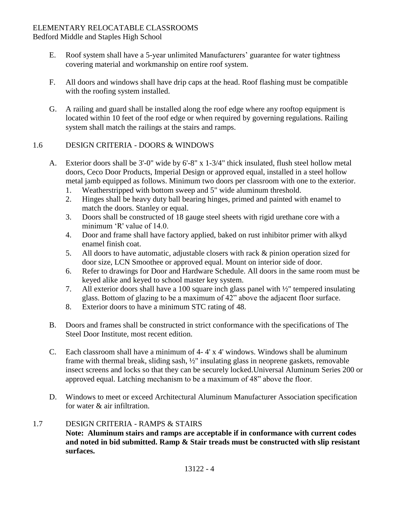#### ELEMENTARY RELOCATABLE CLASSROOMS Bedford Middle and Staples High School

- E. Roof system shall have a 5-year unlimited Manufacturers' guarantee for water tightness covering material and workmanship on entire roof system.
- F. All doors and windows shall have drip caps at the head. Roof flashing must be compatible with the roofing system installed.
- G. A railing and guard shall be installed along the roof edge where any rooftop equipment is located within 10 feet of the roof edge or when required by governing regulations. Railing system shall match the railings at the stairs and ramps.

### 1.6 DESIGN CRITERIA - DOORS & WINDOWS

- A. Exterior doors shall be 3'-0" wide by 6'-8" x 1-3/4" thick insulated, flush steel hollow metal doors, Ceco Door Products, Imperial Design or approved equal, installed in a steel hollow metal jamb equipped as follows. Minimum two doors per classroom with one to the exterior.
	- 1. Weatherstripped with bottom sweep and 5" wide aluminum threshold.
	- 2. Hinges shall be heavy duty ball bearing hinges, primed and painted with enamel to match the doors. Stanley or equal.
	- 3. Doors shall be constructed of 18 gauge steel sheets with rigid urethane core with a minimum 'R' value of 14.0.
	- 4. Door and frame shall have factory applied, baked on rust inhibitor primer with alkyd enamel finish coat.
	- 5. All doors to have automatic, adjustable closers with rack & pinion operation sized for door size, LCN Smoothee or approved equal. Mount on interior side of door.
	- 6. Refer to drawings for Door and Hardware Schedule. All doors in the same room must be keyed alike and keyed to school master key system.
	- 7. All exterior doors shall have a 100 square inch glass panel with ½" tempered insulating glass. Bottom of glazing to be a maximum of 42" above the adjacent floor surface.
	- 8. Exterior doors to have a minimum STC rating of 48.
- B. Doors and frames shall be constructed in strict conformance with the specifications of The Steel Door Institute, most recent edition.
- C. Each classroom shall have a minimum of 4- 4' x 4' windows. Windows shall be aluminum frame with thermal break, sliding sash, ½" insulating glass in neoprene gaskets, removable insect screens and locks so that they can be securely locked.Universal Aluminum Series 200 or approved equal. Latching mechanism to be a maximum of 48" above the floor.
- D. Windows to meet or exceed Architectural Aluminum Manufacturer Association specification for water & air infiltration.

### 1.7 DESIGN CRITERIA - RAMPS & STAIRS

**Note: Aluminum stairs and ramps are acceptable if in conformance with current codes and noted in bid submitted. Ramp & Stair treads must be constructed with slip resistant surfaces.**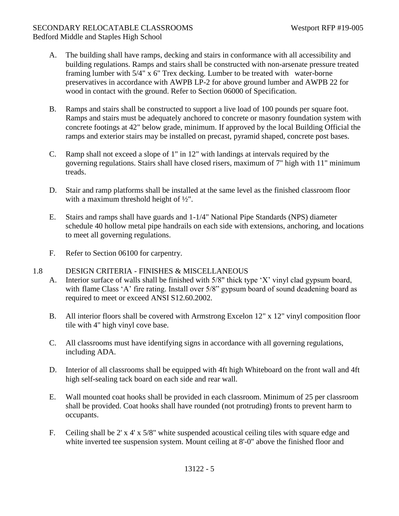### SECONDARY RELOCATABLE CLASSROOMS Westport RFP #19-005 Bedford Middle and Staples High School

- A. The building shall have ramps, decking and stairs in conformance with all accessibility and building regulations. Ramps and stairs shall be constructed with non-arsenate pressure treated framing lumber with 5/4" x 6" Trex decking. Lumber to be treated with water-borne preservatives in accordance with AWPB LP-2 for above ground lumber and AWPB 22 for wood in contact with the ground. Refer to Section 06000 of Specification.
- B. Ramps and stairs shall be constructed to support a live load of 100 pounds per square foot. Ramps and stairs must be adequately anchored to concrete or masonry foundation system with concrete footings at 42" below grade, minimum. If approved by the local Building Official the ramps and exterior stairs may be installed on precast, pyramid shaped, concrete post bases.
- C. Ramp shall not exceed a slope of 1" in 12" with landings at intervals required by the governing regulations. Stairs shall have closed risers, maximum of 7" high with 11" minimum treads.
- D. Stair and ramp platforms shall be installed at the same level as the finished classroom floor with a maximum threshold height of ½".
- E. Stairs and ramps shall have guards and 1-1/4" National Pipe Standards (NPS) diameter schedule 40 hollow metal pipe handrails on each side with extensions, anchoring, and locations to meet all governing regulations.
- F. Refer to Section 06100 for carpentry.

### 1.8 DESIGN CRITERIA - FINISHES & MISCELLANEOUS

- A. Interior surface of walls shall be finished with 5/8" thick type 'X' vinyl clad gypsum board, with flame Class 'A' fire rating. Install over 5/8" gypsum board of sound deadening board as required to meet or exceed ANSI S12.60.2002.
- B. All interior floors shall be covered with Armstrong Excelon 12" x 12" vinyl composition floor tile with 4" high vinyl cove base.
- C. All classrooms must have identifying signs in accordance with all governing regulations, including ADA.
- D. Interior of all classrooms shall be equipped with 4ft high Whiteboard on the front wall and 4ft high self-sealing tack board on each side and rear wall.
- E. Wall mounted coat hooks shall be provided in each classroom. Minimum of 25 per classroom shall be provided. Coat hooks shall have rounded (not protruding) fronts to prevent harm to occupants.
- F. Ceiling shall be 2' x 4' x 5/8" white suspended acoustical ceiling tiles with square edge and white inverted tee suspension system. Mount ceiling at 8'-0" above the finished floor and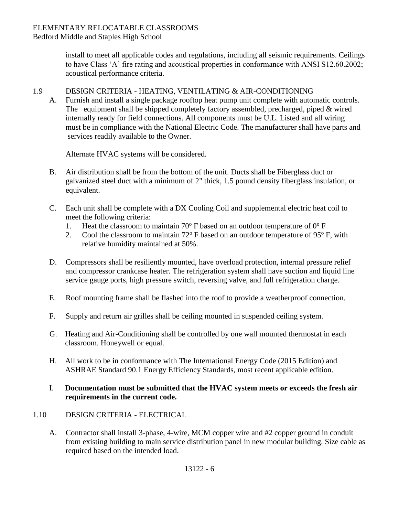#### ELEMENTARY RELOCATABLE CLASSROOMS Bedford Middle and Staples High School

install to meet all applicable codes and regulations, including all seismic requirements. Ceilings to have Class 'A' fire rating and acoustical properties in conformance with ANSI S12.60.2002; acoustical performance criteria.

### 1.9 DESIGN CRITERIA - HEATING, VENTILATING & AIR-CONDITIONING

A. Furnish and install a single package rooftop heat pump unit complete with automatic controls. The equipment shall be shipped completely factory assembled, precharged, piped & wired internally ready for field connections. All components must be U.L. Listed and all wiring must be in compliance with the National Electric Code. The manufacturer shall have parts and services readily available to the Owner.

Alternate HVAC systems will be considered.

- B. Air distribution shall be from the bottom of the unit. Ducts shall be Fiberglass duct or galvanized steel duct with a minimum of 2" thick, 1.5 pound density fiberglass insulation, or equivalent.
- C. Each unit shall be complete with a DX Cooling Coil and supplemental electric heat coil to meet the following criteria:
	- 1. Heat the classroom to maintain 70 $\degree$  F based on an outdoor temperature of 0 $\degree$  F
	- 2. Cool the classroom to maintain  $72^{\circ}$  F based on an outdoor temperature of 95 $^{\circ}$  F, with relative humidity maintained at 50%.
- D. Compressors shall be resiliently mounted, have overload protection, internal pressure relief and compressor crankcase heater. The refrigeration system shall have suction and liquid line service gauge ports, high pressure switch, reversing valve, and full refrigeration charge.
- E. Roof mounting frame shall be flashed into the roof to provide a weatherproof connection.
- F. Supply and return air grilles shall be ceiling mounted in suspended ceiling system.
- G. Heating and Air-Conditioning shall be controlled by one wall mounted thermostat in each classroom. Honeywell or equal.
- H. All work to be in conformance with The International Energy Code (2015 Edition) and ASHRAE Standard 90.1 Energy Efficiency Standards, most recent applicable edition.

### I. **Documentation must be submitted that the HVAC system meets or exceeds the fresh air requirements in the current code.**

### 1.10 DESIGN CRITERIA - ELECTRICAL

A. Contractor shall install 3-phase, 4-wire, MCM copper wire and #2 copper ground in conduit from existing building to main service distribution panel in new modular building. Size cable as required based on the intended load.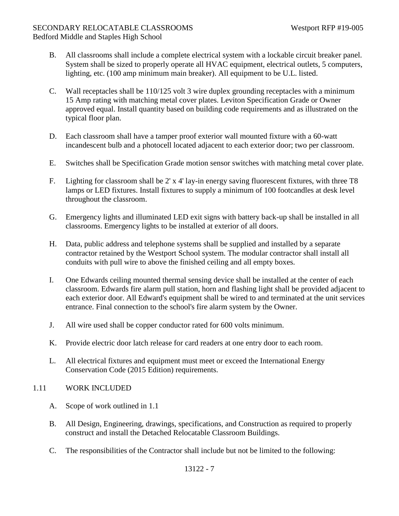### SECONDARY RELOCATABLE CLASSROOMS Westport RFP #19-005 Bedford Middle and Staples High School

- B. All classrooms shall include a complete electrical system with a lockable circuit breaker panel. System shall be sized to properly operate all HVAC equipment, electrical outlets, 5 computers, lighting, etc. (100 amp minimum main breaker). All equipment to be U.L. listed.
- C. Wall receptacles shall be 110/125 volt 3 wire duplex grounding receptacles with a minimum 15 Amp rating with matching metal cover plates. Leviton Specification Grade or Owner approved equal. Install quantity based on building code requirements and as illustrated on the typical floor plan.
- D. Each classroom shall have a tamper proof exterior wall mounted fixture with a 60-watt incandescent bulb and a photocell located adjacent to each exterior door; two per classroom.
- E. Switches shall be Specification Grade motion sensor switches with matching metal cover plate.
- F. Lighting for classroom shall be 2' x 4' lay-in energy saving fluorescent fixtures, with three T8 lamps or LED fixtures. Install fixtures to supply a minimum of 100 footcandles at desk level throughout the classroom.
- G. Emergency lights and illuminated LED exit signs with battery back-up shall be installed in all classrooms. Emergency lights to be installed at exterior of all doors.
- H. Data, public address and telephone systems shall be supplied and installed by a separate contractor retained by the Westport School system. The modular contractor shall install all conduits with pull wire to above the finished ceiling and all empty boxes.
- I. One Edwards ceiling mounted thermal sensing device shall be installed at the center of each classroom. Edwards fire alarm pull station, horn and flashing light shall be provided adjacent to each exterior door. All Edward's equipment shall be wired to and terminated at the unit services entrance. Final connection to the school's fire alarm system by the Owner.
- J. All wire used shall be copper conductor rated for 600 volts minimum.
- K. Provide electric door latch release for card readers at one entry door to each room.
- L. All electrical fixtures and equipment must meet or exceed the International Energy Conservation Code (2015 Edition) requirements.

### 1.11 WORK INCLUDED

- A. Scope of work outlined in 1.1
- B. All Design, Engineering, drawings, specifications, and Construction as required to properly construct and install the Detached Relocatable Classroom Buildings.
- C. The responsibilities of the Contractor shall include but not be limited to the following: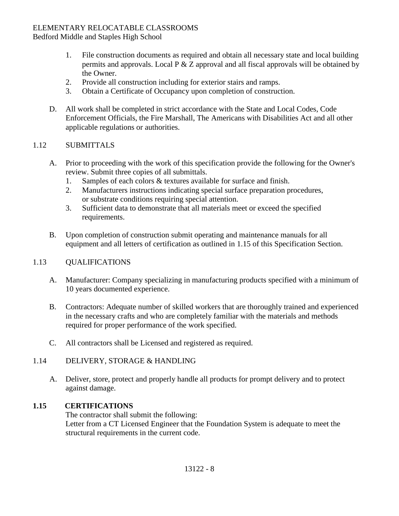# ELEMENTARY RELOCATABLE CLASSROOMS

Bedford Middle and Staples High School

- 1. File construction documents as required and obtain all necessary state and local building permits and approvals. Local P & Z approval and all fiscal approvals will be obtained by the Owner.
- 2. Provide all construction including for exterior stairs and ramps.
- 3. Obtain a Certificate of Occupancy upon completion of construction.
- D. All work shall be completed in strict accordance with the State and Local Codes, Code Enforcement Officials, the Fire Marshall, The Americans with Disabilities Act and all other applicable regulations or authorities.

### 1.12 SUBMITTALS

- A. Prior to proceeding with the work of this specification provide the following for the Owner's review. Submit three copies of all submittals.
	- 1. Samples of each colors & textures available for surface and finish.
	- 2. Manufacturers instructions indicating special surface preparation procedures, or substrate conditions requiring special attention.
	- 3. Sufficient data to demonstrate that all materials meet or exceed the specified requirements.
- B. Upon completion of construction submit operating and maintenance manuals for all equipment and all letters of certification as outlined in 1.15 of this Specification Section.

### 1.13 QUALIFICATIONS

- A. Manufacturer: Company specializing in manufacturing products specified with a minimum of 10 years documented experience.
- B. Contractors: Adequate number of skilled workers that are thoroughly trained and experienced in the necessary crafts and who are completely familiar with the materials and methods required for proper performance of the work specified.
- C. All contractors shall be Licensed and registered as required.

### 1.14 DELIVERY, STORAGE & HANDLING

A. Deliver, store, protect and properly handle all products for prompt delivery and to protect against damage.

### **1.15 CERTIFICATIONS**

The contractor shall submit the following: Letter from a CT Licensed Engineer that the Foundation System is adequate to meet the structural requirements in the current code.